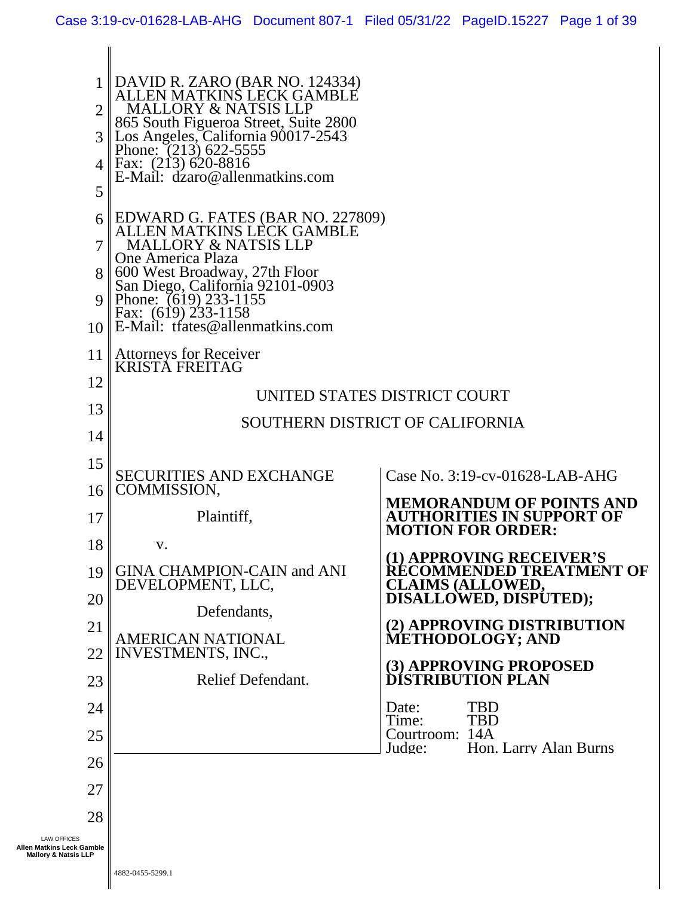II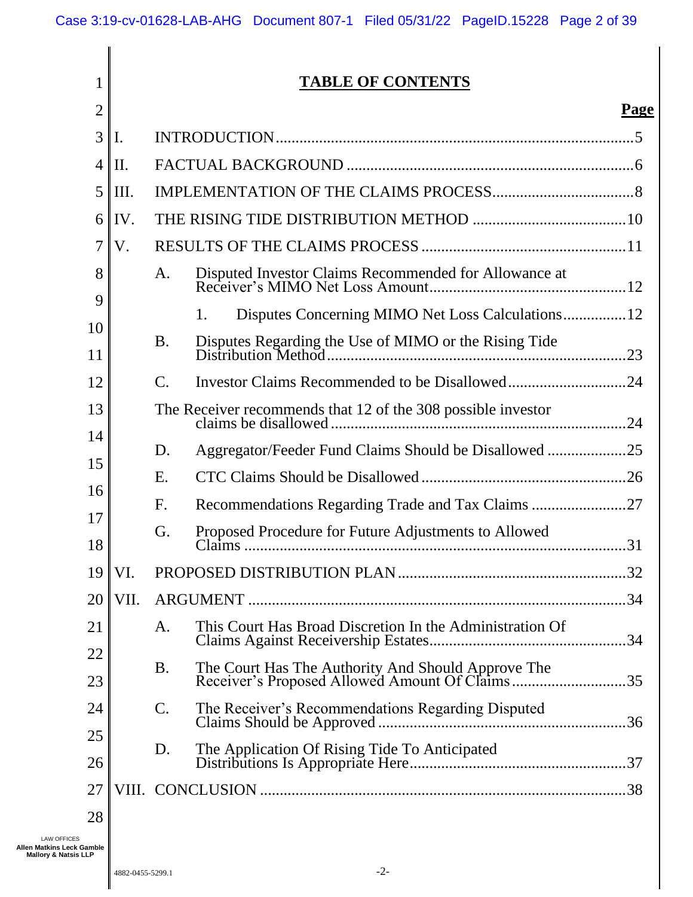#### 1 2 3 4 5 6 7 8 9 10 11 12 13 14 15 16 17 18 19 20 21 22 23 24 25 26 27 28 **TABLE OF CONTENTS Page** I. [INTRODUCTION...........................................................................................5](#page-4-0) II. FACTUAL BACKGROUND [.........................................................................6](#page-5-0) III. [IMPLEMENTATION OF THE CLAIMS PROCESS....................................8](#page-7-0) IV. [THE RISING TIDE DISTRIBUTION METHOD](#page-9-0) .......................................10 V. [RESULTS OF THE CLAIMS PROCESS](#page-10-0) ....................................................11 A. [Disputed Investor Claims Recommended for Allowance at](#page-11-0)  [Receiver's MIMO Net Loss Amount..................................................12](#page-11-0) 1. [Disputes Concerning MIMO Net Loss Calculations................12](#page-11-1) B. [Disputes Regarding the Use of MIMO or the Rising Tide](#page-22-0)  [Distribution Method............................................................................23](#page-22-0) C. [Investor Claims Recommended to be Disallowed..............................24](#page-23-0) [The Receiver recommends that 12 of the 308 possible investor](#page-23-1)  claims be disallowed [...........................................................................24](#page-23-1) D. [Aggregator/Feeder Fund Claims Should be Disallowed](#page-24-0) ....................25 E. [CTC Claims Should be Disallowed](#page-25-0) ....................................................26 F. [Recommendations Regarding Trade and Tax Claims](#page-26-0) ........................27 G. [Proposed Procedure for Future Adjustments to Allowed](#page-30-0)  Claims [.................................................................................................31](#page-30-0) VI. [PROPOSED DISTRIBUTION PLAN..........................................................32](#page-31-0) VII. ARGUMENT [................................................................................................34](#page-33-0) A. [This Court Has Broad Discretion In the Administration Of](#page-33-1)  [Claims Against Receivership Estates..................................................34](#page-33-1) B. [The Court Has The Authority And Should Approve The](#page-34-0)  [Receiver's Proposed Allowed Amount Of Claims.............................35](#page-34-0) C. [The Receiver's Recommendations Regarding Disputed](#page-35-0)  Claims Should be Approved [...............................................................36](#page-35-0) D. [The Application Of Rising Tide To Anticipated](#page-36-0)  [Distributions Is Appropriate Here.......................................................37](#page-36-0) VIII. CONCLUSION [.............................................................................................38](#page-37-0)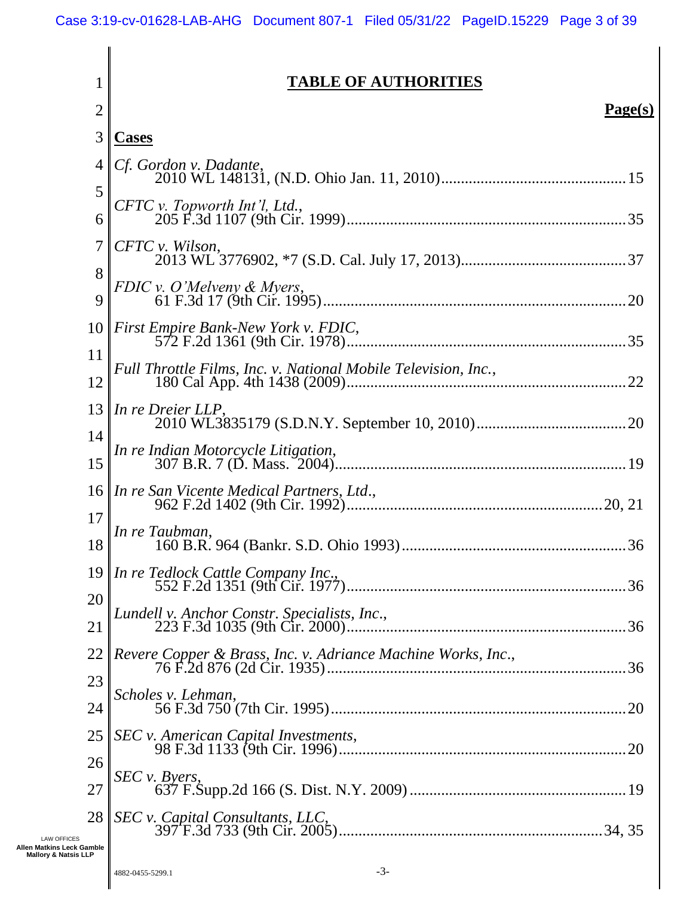| 1                                                | <b>TABLE OF AUTHORITIES</b>                                          |
|--------------------------------------------------|----------------------------------------------------------------------|
| $\overline{2}$                                   | Page(s)                                                              |
| 3                                                | <b>Cases</b>                                                         |
| 4                                                | Cf. Gordon v. Dadante,                                               |
| 5<br>6                                           | CFTC v. Topworth Int'l, Ltd.,                                        |
| 7                                                | CFTC v. Wilson,                                                      |
| 8<br>9                                           | FDIC v. O'Melveny & Myers,                                           |
| 10                                               | First Empire Bank-New York v. FDIC,                                  |
| 11<br>12                                         | Full Throttle Films, Inc. v. National Mobile Television, Inc.,<br>22 |
| 13                                               | In re Dreier LLP,                                                    |
| 14<br>15                                         | In re Indian Motorcycle Litigation,                                  |
| 16                                               | In re San Vicente Medical Partners, Ltd.,                            |
| 17<br>18                                         | In re Taubman,                                                       |
| 19                                               |                                                                      |
| 20<br>21                                         | Lundell v. Anchor Constr. Specialists, Inc.,                         |
| 22                                               | Revere Copper & Brass, Inc. v. Adriance Machine Works, Inc.,         |
| 23<br>24                                         | Scholes v. Lehman,                                                   |
| 25                                               | SEC v. American Capital Investments,                                 |
| 26<br>27                                         | $SEC \nu. Bvers,$                                                    |
| 28                                               | SEC v. Capital Consultants, LLC,                                     |
| <b>LAW OFFICES</b><br><b>Matkins Leck Gamble</b> |                                                                      |

**Allen Matkins Leck Gamble Mallory & Natsis LLP**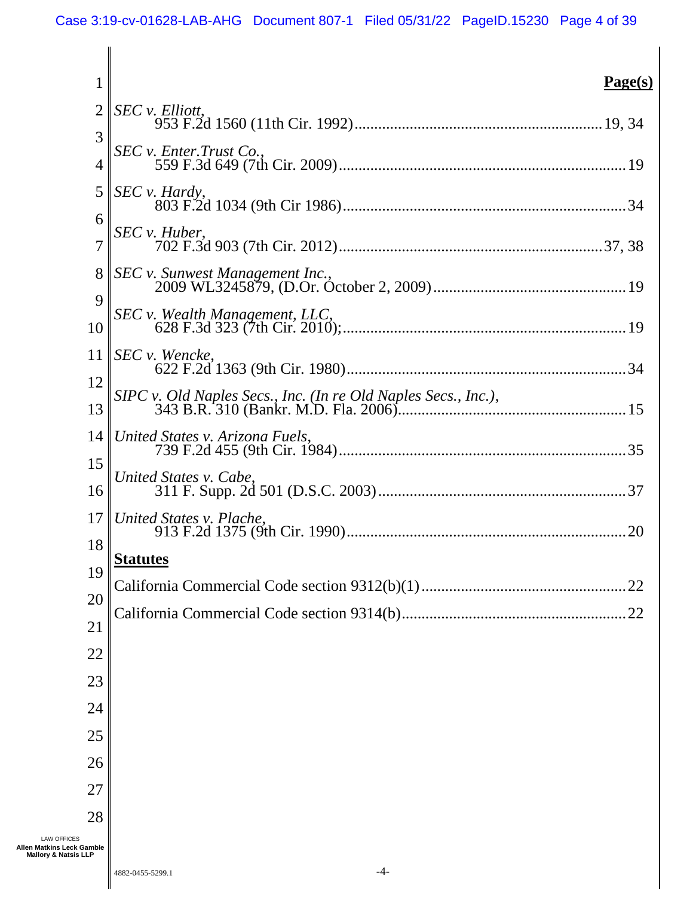| 1                                                                                        | Page(s)                                                        |
|------------------------------------------------------------------------------------------|----------------------------------------------------------------|
| 2                                                                                        | SEC v. Elliott,                                                |
| 3                                                                                        | SEC v. Enter. Trust Co.,                                       |
| $\overline{4}$<br>5                                                                      | SEC v. Hardy,                                                  |
| 6                                                                                        |                                                                |
| $\overline{7}$                                                                           | SEC v. Huber,                                                  |
| 8                                                                                        | SEC v. Sunwest Management Inc.,                                |
| 9<br>10                                                                                  | SEC v. Wealth Management, LLC,                                 |
| 11                                                                                       | SEC v. Wencke,                                                 |
| 12                                                                                       | SIPC v. Old Naples Secs., Inc. (In re Old Naples Secs., Inc.), |
| 13<br>14                                                                                 | United States v. Arizona Fuels,                                |
| 15                                                                                       |                                                                |
| 16                                                                                       | United States v. Cabe,                                         |
| 17                                                                                       | United States v. Plache,                                       |
| 18                                                                                       | <b>Statutes</b>                                                |
| 19<br>20                                                                                 | .22                                                            |
| 21                                                                                       | .22                                                            |
| 22                                                                                       |                                                                |
| 23                                                                                       |                                                                |
| 24                                                                                       |                                                                |
| 25                                                                                       |                                                                |
| 26                                                                                       |                                                                |
| 27                                                                                       |                                                                |
| 28<br><b>LAW OFFICES</b><br>Allen Matkins Leck Gamble<br><b>Mallory &amp; Natsis LLP</b> |                                                                |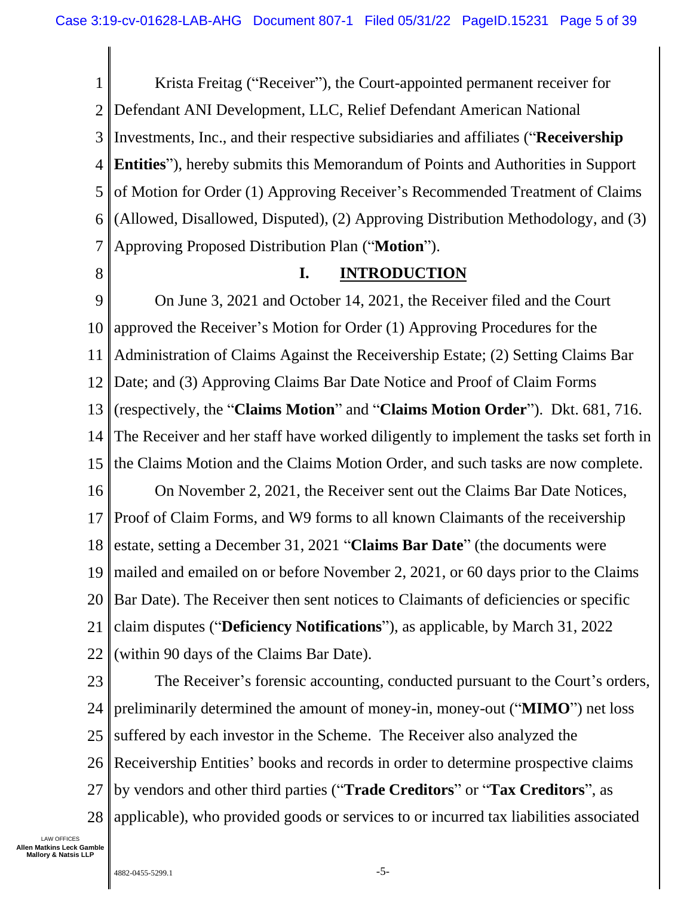1 2 3 4 5 6 7 Krista Freitag ("Receiver"), the Court-appointed permanent receiver for Defendant ANI Development, LLC, Relief Defendant American National Investments, Inc., and their respective subsidiaries and affiliates ("**Receivership Entities**"), hereby submits this Memorandum of Points and Authorities in Support of Motion for Order (1) Approving Receiver's Recommended Treatment of Claims (Allowed, Disallowed, Disputed), (2) Approving Distribution Methodology, and (3) Approving Proposed Distribution Plan ("**Motion**").

<span id="page-4-0"></span>8

#### **I. INTRODUCTION**

9 10 11 12 13 14 15 16 17 18 19 20 21 22 On June 3, 2021 and October 14, 2021, the Receiver filed and the Court approved the Receiver's Motion for Order (1) Approving Procedures for the Administration of Claims Against the Receivership Estate; (2) Setting Claims Bar Date; and (3) Approving Claims Bar Date Notice and Proof of Claim Forms (respectively, the "**Claims Motion**" and "**Claims Motion Order**"). Dkt. 681, 716. The Receiver and her staff have worked diligently to implement the tasks set forth in the Claims Motion and the Claims Motion Order, and such tasks are now complete. On November 2, 2021, the Receiver sent out the Claims Bar Date Notices, Proof of Claim Forms, and W9 forms to all known Claimants of the receivership estate, setting a December 31, 2021 "**Claims Bar Date**" (the documents were mailed and emailed on or before November 2, 2021, or 60 days prior to the Claims Bar Date). The Receiver then sent notices to Claimants of deficiencies or specific claim disputes ("**Deficiency Notifications**"), as applicable, by March 31, 2022 (within 90 days of the Claims Bar Date).

23 24 25 26 27 28 The Receiver's forensic accounting, conducted pursuant to the Court's orders, preliminarily determined the amount of money-in, money-out ("**MIMO**") net loss suffered by each investor in the Scheme. The Receiver also analyzed the Receivership Entities' books and records in order to determine prospective claims by vendors and other third parties ("**Trade Creditors**" or "**Tax Creditors**", as applicable), who provided goods or services to or incurred tax liabilities associated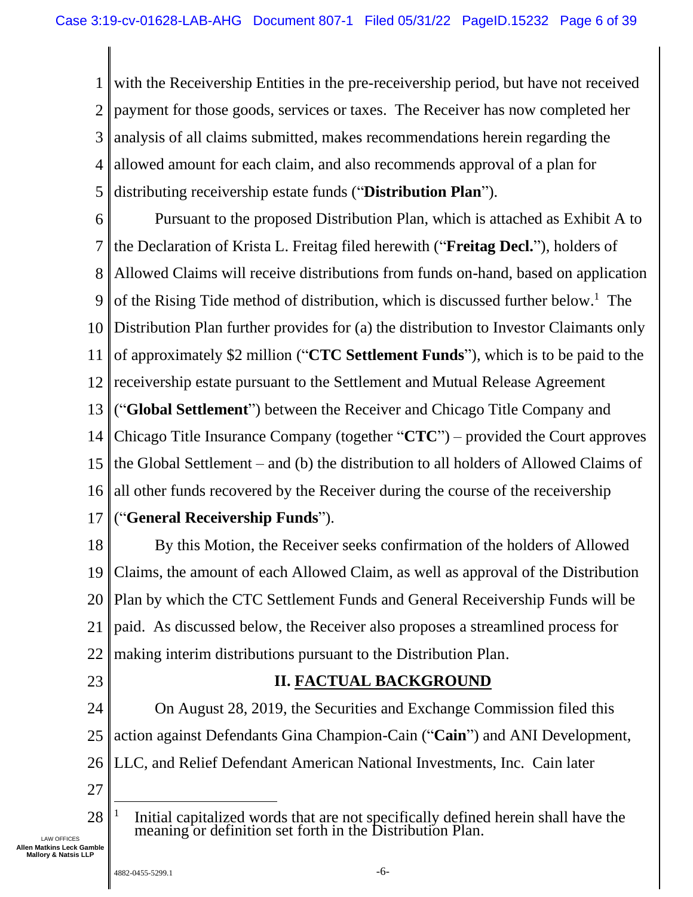1 2 3 4 5 with the Receivership Entities in the pre-receivership period, but have not received payment for those goods, services or taxes. The Receiver has now completed her analysis of all claims submitted, makes recommendations herein regarding the allowed amount for each claim, and also recommends approval of a plan for distributing receivership estate funds ("**Distribution Plan**").

6 7 8 9 10 11 12 13 14 15 16 17 Pursuant to the proposed Distribution Plan, which is attached as Exhibit A to the Declaration of Krista L. Freitag filed herewith ("**Freitag Decl.**"), holders of Allowed Claims will receive distributions from funds on-hand, based on application of the Rising Tide method of distribution, which is discussed further below. 1 The Distribution Plan further provides for (a) the distribution to Investor Claimants only of approximately \$2 million ("**CTC Settlement Funds**"), which is to be paid to the receivership estate pursuant to the Settlement and Mutual Release Agreement ("**Global Settlement**") between the Receiver and Chicago Title Company and Chicago Title Insurance Company (together "**CTC**") – provided the Court approves the Global Settlement – and (b) the distribution to all holders of Allowed Claims of all other funds recovered by the Receiver during the course of the receivership ("**General Receivership Funds**").

18 19 20 21 22 By this Motion, the Receiver seeks confirmation of the holders of Allowed Claims, the amount of each Allowed Claim, as well as approval of the Distribution Plan by which the CTC Settlement Funds and General Receivership Funds will be paid. As discussed below, the Receiver also proposes a streamlined process for making interim distributions pursuant to the Distribution Plan.

<span id="page-5-0"></span>23

### **II. FACTUAL BACKGROUND**

24 25 On August 28, 2019, the Securities and Exchange Commission filed this action against Defendants Gina Champion-Cain ("**Cain**") and ANI Development,

- 26 LLC, and Relief Defendant American National Investments, Inc. Cain later
- 27
- 28 1 Initial capitalized words that are not specifically defined herein shall have the meaning or definition set forth in the Distribution Plan.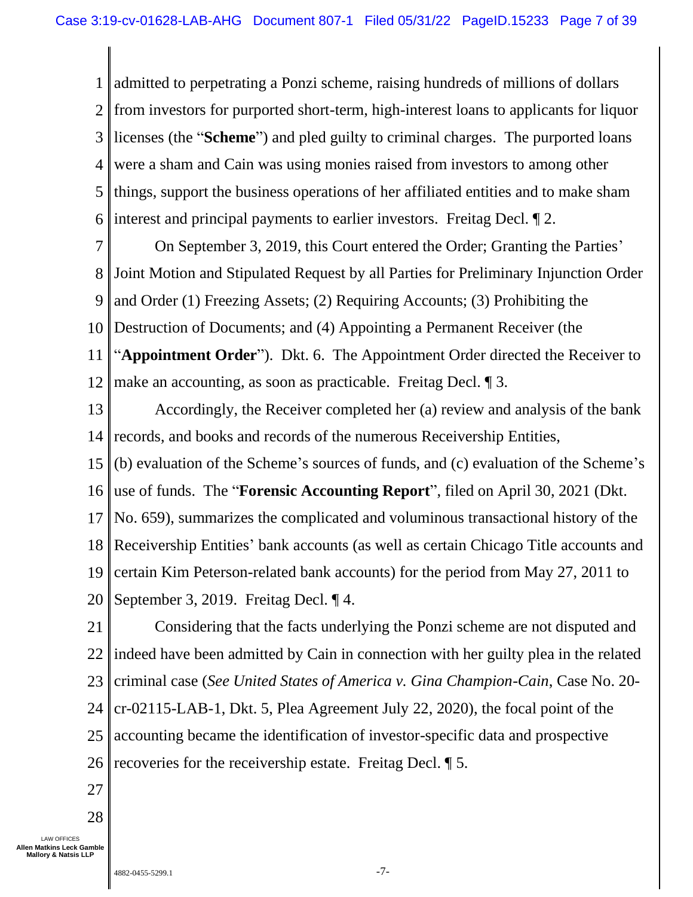1 2 3 4 5 6 admitted to perpetrating a Ponzi scheme, raising hundreds of millions of dollars from investors for purported short-term, high-interest loans to applicants for liquor licenses (the "**Scheme**") and pled guilty to criminal charges. The purported loans were a sham and Cain was using monies raised from investors to among other things, support the business operations of her affiliated entities and to make sham interest and principal payments to earlier investors. Freitag Decl. ¶ 2.

7 8 9 10 11 12 On September 3, 2019, this Court entered the Order; Granting the Parties' Joint Motion and Stipulated Request by all Parties for Preliminary Injunction Order and Order (1) Freezing Assets; (2) Requiring Accounts; (3) Prohibiting the Destruction of Documents; and (4) Appointing a Permanent Receiver (the "**Appointment Order**"). Dkt. 6. The Appointment Order directed the Receiver to make an accounting, as soon as practicable. Freitag Decl. ¶ 3.

13 14 Accordingly, the Receiver completed her (a) review and analysis of the bank records, and books and records of the numerous Receivership Entities,

15 16 (b) evaluation of the Scheme's sources of funds, and (c) evaluation of the Scheme's use of funds. The "**Forensic Accounting Report**", filed on April 30, 2021 (Dkt.

17 No. 659), summarizes the complicated and voluminous transactional history of the

18 19 20 Receivership Entities' bank accounts (as well as certain Chicago Title accounts and certain Kim Peterson-related bank accounts) for the period from May 27, 2011 to September 3, 2019. Freitag Decl. ¶ 4.

21 22 23 24 25 26 Considering that the facts underlying the Ponzi scheme are not disputed and indeed have been admitted by Cain in connection with her guilty plea in the related criminal case (*See United States of America v. Gina Champion-Cain*, Case No. 20 cr-02115-LAB-1, Dkt. 5, Plea Agreement July 22, 2020), the focal point of the accounting became the identification of investor-specific data and prospective recoveries for the receivership estate. Freitag Decl. ¶ 5.

27

28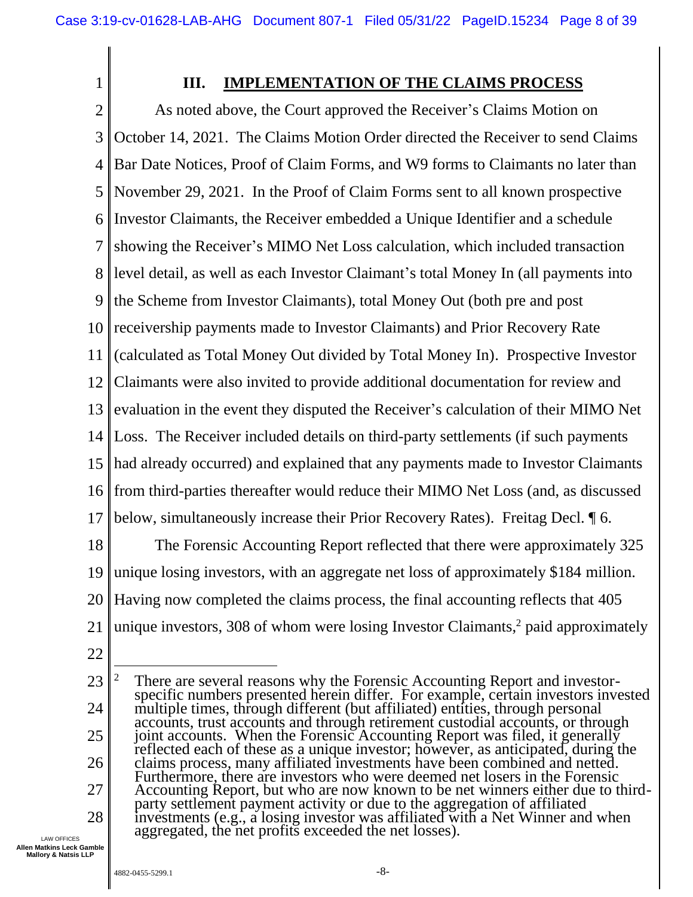<span id="page-7-0"></span>1

### **III. IMPLEMENTATION OF THE CLAIMS PROCESS**

2 3 4 5 6 7 8 9 10 11 12 13 14 15 16 17 18 19 20 21 As noted above, the Court approved the Receiver's Claims Motion on October 14, 2021. The Claims Motion Order directed the Receiver to send Claims Bar Date Notices, Proof of Claim Forms, and W9 forms to Claimants no later than November 29, 2021. In the Proof of Claim Forms sent to all known prospective Investor Claimants, the Receiver embedded a Unique Identifier and a schedule showing the Receiver's MIMO Net Loss calculation, which included transaction level detail, as well as each Investor Claimant's total Money In (all payments into the Scheme from Investor Claimants), total Money Out (both pre and post receivership payments made to Investor Claimants) and Prior Recovery Rate (calculated as Total Money Out divided by Total Money In). Prospective Investor Claimants were also invited to provide additional documentation for review and evaluation in the event they disputed the Receiver's calculation of their MIMO Net Loss. The Receiver included details on third-party settlements (if such payments had already occurred) and explained that any payments made to Investor Claimants from third-parties thereafter would reduce their MIMO Net Loss (and, as discussed below, simultaneously increase their Prior Recovery Rates). Freitag Decl. ¶ 6. The Forensic Accounting Report reflected that there were approximately 325 unique losing investors, with an aggregate net loss of approximately \$184 million. Having now completed the claims process, the final accounting reflects that 405 unique investors, 308 of whom were losing Investor Claimants, <sup>2</sup> paid approximately

22

23 24 25 26 27 28  $2<sup>2</sup>$  There are several reasons why the Forensic Accounting Report and investorspecific numbers presented herein differ. For example, certain investors invested multiple times, through different (but affiliated) entities, through personal accounts, trust accounts and through retirement custodial accounts, or through joint accounts. When the Forensic Accounting Report was filed, it generally reflected each of these as a unique investor; however, as anticipated, during the claims process, many affiliated investments have been combined and netted. Furthermore, there are investors who were deemed net losers in the Forensic Accounting Report, but who are now known to be net winners either due to thirdparty settlement payment activity or due to the aggregation of affiliated investments (e.g., a losing investor was affiliated with a Net Winner and when aggregated, the net profits exceeded the net losses).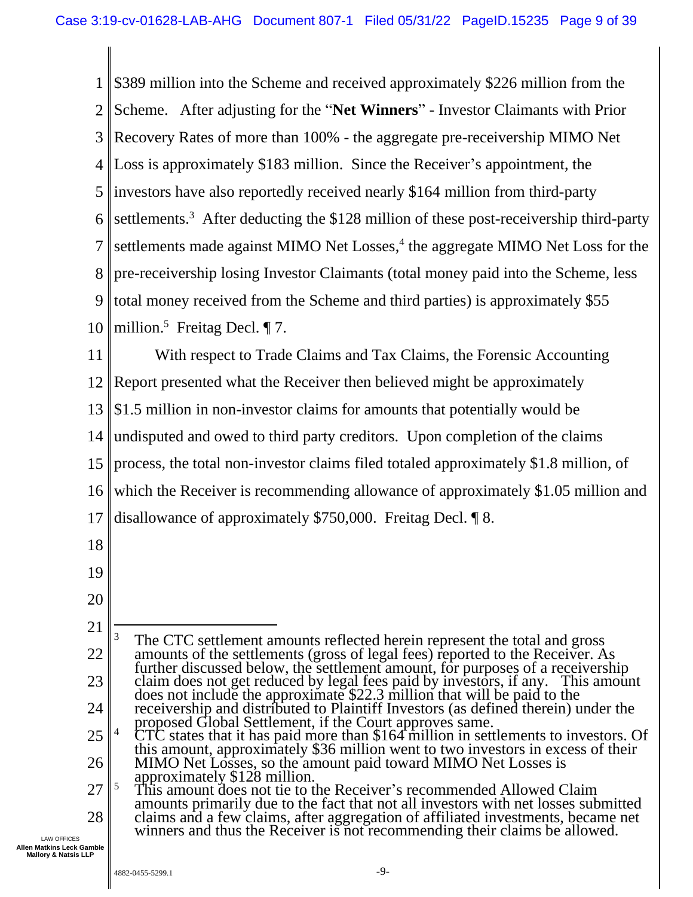1 2 3 4 5 6 7 8 9 10 11 12 13 14 15 16 17 18 19 20 21 22 23 24 25 26 27 28 \$389 million into the Scheme and received approximately \$226 million from the Scheme. After adjusting for the "**Net Winners**" - Investor Claimants with Prior Recovery Rates of more than 100% - the aggregate pre-receivership MIMO Net Loss is approximately \$183 million. Since the Receiver's appointment, the investors have also reportedly received nearly \$164 million from third-party settlements.<sup>3</sup> After deducting the \$128 million of these post-receivership third-party settlements made against MIMO Net Losses,<sup>4</sup> the aggregate MIMO Net Loss for the pre-receivership losing Investor Claimants (total money paid into the Scheme, less total money received from the Scheme and third parties) is approximately \$55 million.<sup>5</sup> Freitag Decl. ¶ 7. With respect to Trade Claims and Tax Claims, the Forensic Accounting Report presented what the Receiver then believed might be approximately \$1.5 million in non-investor claims for amounts that potentially would be undisputed and owed to third party creditors. Upon completion of the claims process, the total non-investor claims filed totaled approximately \$1.8 million, of which the Receiver is recommending allowance of approximately \$1.05 million and disallowance of approximately \$750,000. Freitag Decl. ¶ 8. <sup>3</sup> The CTC settlement amounts reflected herein represent the total and gross amounts of the settlements (gross of legal fees) reported to the Receiver. As further discussed below, the settlement amount, for purposes of a receivership claim does not get reduced by legal fees paid by investors, if any. This amount does not include the approximate \$22.3 million that will be paid to the receivership and distributed to Plaintiff Investors (as defined therein) under the proposed Global Settlement, if the Court approves same. <sup>4</sup> CTC states that it has paid more than \$164 million in settlements to investors. Of this amount, approximately \$36 million went to two investors in excess of their MIMO Net Losses, so the amount paid toward MIMO Net Losses is approximately \$128 million. <sup>5</sup> This amount does not tie to the Receiver's recommended Allowed Claim amounts primarily due to the fact that not all investors with net losses submitted claims and a few claims, after aggregation of affiliated investments, became net winners and thus the Receiver is not recommending their claims be allowed.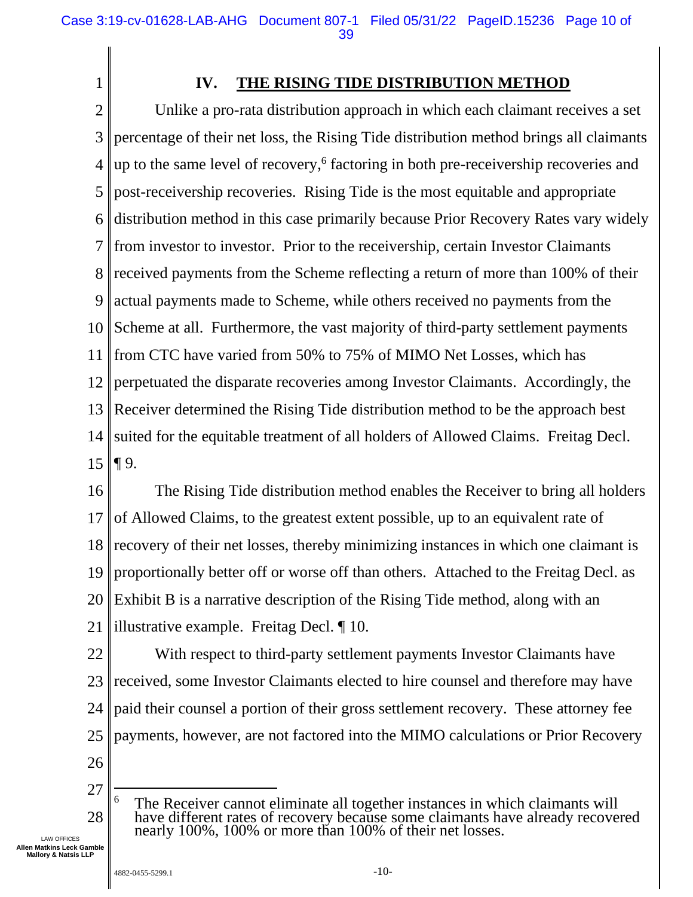**IV. THE RISING TIDE DISTRIBUTION METHOD**

2 3 4 5 6 7 8 9 10 11 12 13 14 15 Unlike a pro-rata distribution approach in which each claimant receives a set percentage of their net loss, the Rising Tide distribution method brings all claimants up to the same level of recovery,<sup>6</sup> factoring in both pre-receivership recoveries and post-receivership recoveries. Rising Tide is the most equitable and appropriate distribution method in this case primarily because Prior Recovery Rates vary widely from investor to investor. Prior to the receivership, certain Investor Claimants received payments from the Scheme reflecting a return of more than 100% of their actual payments made to Scheme, while others received no payments from the Scheme at all. Furthermore, the vast majority of third-party settlement payments from CTC have varied from 50% to 75% of MIMO Net Losses, which has perpetuated the disparate recoveries among Investor Claimants. Accordingly, the Receiver determined the Rising Tide distribution method to be the approach best suited for the equitable treatment of all holders of Allowed Claims. Freitag Decl. ¶ 9.

16 17 18 19 20 21 The Rising Tide distribution method enables the Receiver to bring all holders of Allowed Claims, to the greatest extent possible, up to an equivalent rate of recovery of their net losses, thereby minimizing instances in which one claimant is proportionally better off or worse off than others. Attached to the Freitag Decl. as Exhibit B is a narrative description of the Rising Tide method, along with an illustrative example. Freitag Decl. ¶ 10.

22 23 24 25 With respect to third-party settlement payments Investor Claimants have received, some Investor Claimants elected to hire counsel and therefore may have paid their counsel a portion of their gross settlement recovery. These attorney fee payments, however, are not factored into the MIMO calculations or Prior Recovery

26

<span id="page-9-0"></span>1

27

28 <sup>6</sup> The Receiver cannot eliminate all together instances in which claimants will have different rates of recovery because some claimants have already recovered nearly 100%, 100% or more than 100% of their net losses.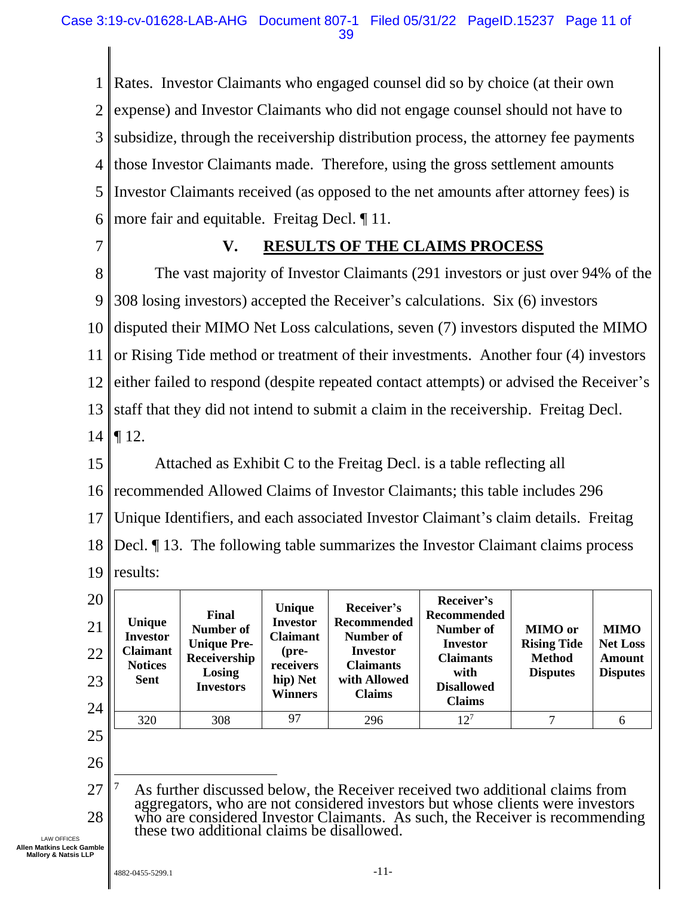1 2 3 4 5 6 Rates. Investor Claimants who engaged counsel did so by choice (at their own expense) and Investor Claimants who did not engage counsel should not have to subsidize, through the receivership distribution process, the attorney fee payments those Investor Claimants made. Therefore, using the gross settlement amounts Investor Claimants received (as opposed to the net amounts after attorney fees) is more fair and equitable. Freitag Decl. ¶ 11.

<span id="page-10-0"></span>7

### **V. RESULTS OF THE CLAIMS PROCESS**

8 9 10 11 12 13 14 The vast majority of Investor Claimants (291 investors or just over 94% of the 308 losing investors) accepted the Receiver's calculations. Six (6) investors disputed their MIMO Net Loss calculations, seven (7) investors disputed the MIMO or Rising Tide method or treatment of their investments. Another four (4) investors either failed to respond (despite repeated contact attempts) or advised the Receiver's staff that they did not intend to submit a claim in the receivership. Freitag Decl. ¶ 12.

15 16 17 18 19 Attached as Exhibit C to the Freitag Decl. is a table reflecting all recommended Allowed Claims of Investor Claimants; this table includes 296 Unique Identifiers, and each associated Investor Claimant's claim details. Freitag Decl. ¶ 13. The following table summarizes the Investor Claimant claims process results:

| 20<br>21<br>22<br>23 | Unique<br><b>Investor</b><br><b>Claimant</b><br><b>Notices</b><br><b>Sent</b> | Final<br>Number of<br><b>Unique Pre-</b><br>Receivership<br>Losing<br><b>Investors</b> | Unique<br><b>Investor</b><br><b>Claimant</b><br>(pre-<br>receivers<br>hip) Net<br>Winners | Receiver's<br><b>Recommended</b><br>Number of<br>Investor<br><b>Claimants</b><br>with Allowed<br><b>Claims</b> | Receiver's<br>Recommended<br>Number of<br><b>Investor</b><br><b>Claimants</b><br>with<br><b>Disallowed</b><br><b>Claims</b> | <b>MIMO</b> or<br><b>Rising Tide</b><br><b>Method</b><br><b>Disputes</b> | <b>MIMO</b><br><b>Net Loss</b><br><b>Amount</b><br><b>Disputes</b> |
|----------------------|-------------------------------------------------------------------------------|----------------------------------------------------------------------------------------|-------------------------------------------------------------------------------------------|----------------------------------------------------------------------------------------------------------------|-----------------------------------------------------------------------------------------------------------------------------|--------------------------------------------------------------------------|--------------------------------------------------------------------|
|                      |                                                                               |                                                                                        |                                                                                           |                                                                                                                |                                                                                                                             |                                                                          |                                                                    |
| 24                   | 320                                                                           | 308                                                                                    | 97                                                                                        | 296                                                                                                            | $12^{7}$                                                                                                                    | 7                                                                        | 6                                                                  |
| 25                   |                                                                               |                                                                                        |                                                                                           |                                                                                                                |                                                                                                                             |                                                                          |                                                                    |

26

27 28 As further discussed below, the Receiver received two additional claims from aggregators, who are not considered investors but whose clients were investors who are considered Investor Claimants. As such, the Receiver is recommending these two additional claims be disallowed.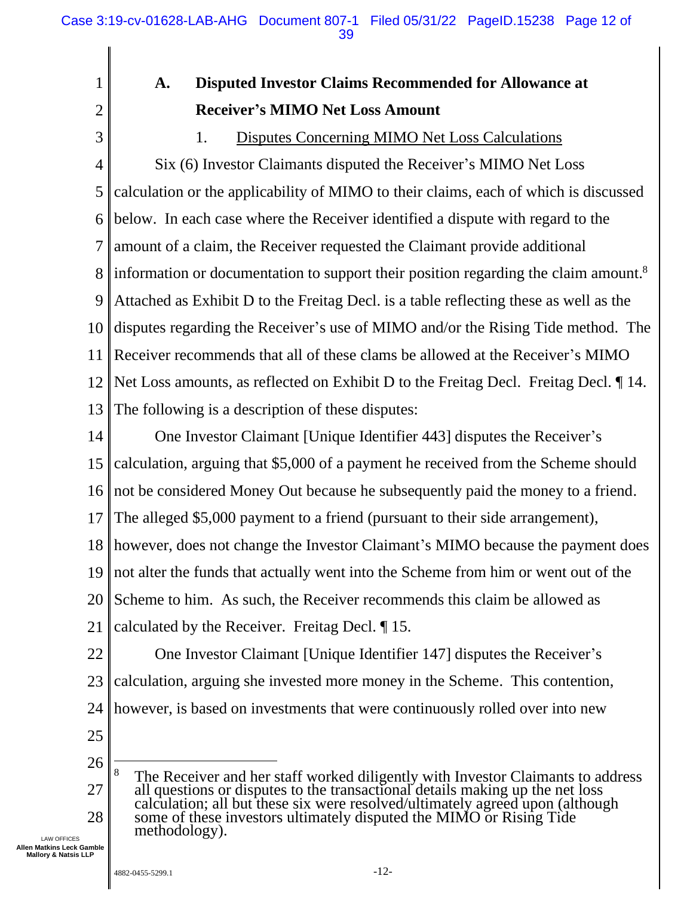# **A. Disputed Investor Claims Recommended for Allowance at Receiver's MIMO Net Loss Amount**

<span id="page-11-1"></span>2 3

<span id="page-11-0"></span>1

#### 1. Disputes Concerning MIMO Net Loss Calculations

4 5 6 7 8 9 10 11 12 13 Six (6) Investor Claimants disputed the Receiver's MIMO Net Loss calculation or the applicability of MIMO to their claims, each of which is discussed below. In each case where the Receiver identified a dispute with regard to the amount of a claim, the Receiver requested the Claimant provide additional information or documentation to support their position regarding the claim amount. 8 Attached as Exhibit D to the Freitag Decl. is a table reflecting these as well as the disputes regarding the Receiver's use of MIMO and/or the Rising Tide method. The Receiver recommends that all of these clams be allowed at the Receiver's MIMO Net Loss amounts, as reflected on Exhibit D to the Freitag Decl. Freitag Decl. ¶ 14. The following is a description of these disputes:

14 One Investor Claimant [Unique Identifier 443] disputes the Receiver's

15 calculation, arguing that \$5,000 of a payment he received from the Scheme should

16 not be considered Money Out because he subsequently paid the money to a friend.

17 The alleged \$5,000 payment to a friend (pursuant to their side arrangement),

18 however, does not change the Investor Claimant's MIMO because the payment does

19 not alter the funds that actually went into the Scheme from him or went out of the

20 Scheme to him. As such, the Receiver recommends this claim be allowed as

21 calculated by the Receiver. Freitag Decl. ¶ 15.

22 23 24 One Investor Claimant [Unique Identifier 147] disputes the Receiver's calculation, arguing she invested more money in the Scheme. This contention, however, is based on investments that were continuously rolled over into new

25

26

27 28 <sup>8</sup> The Receiver and her staff worked diligently with Investor Claimants to address all questions or disputes to the transactional details making up the net loss calculation; all but these six were resolved/ultimately agreed upon (although some of these investors ultimately disputed the MIMO or Rising Tide methodology).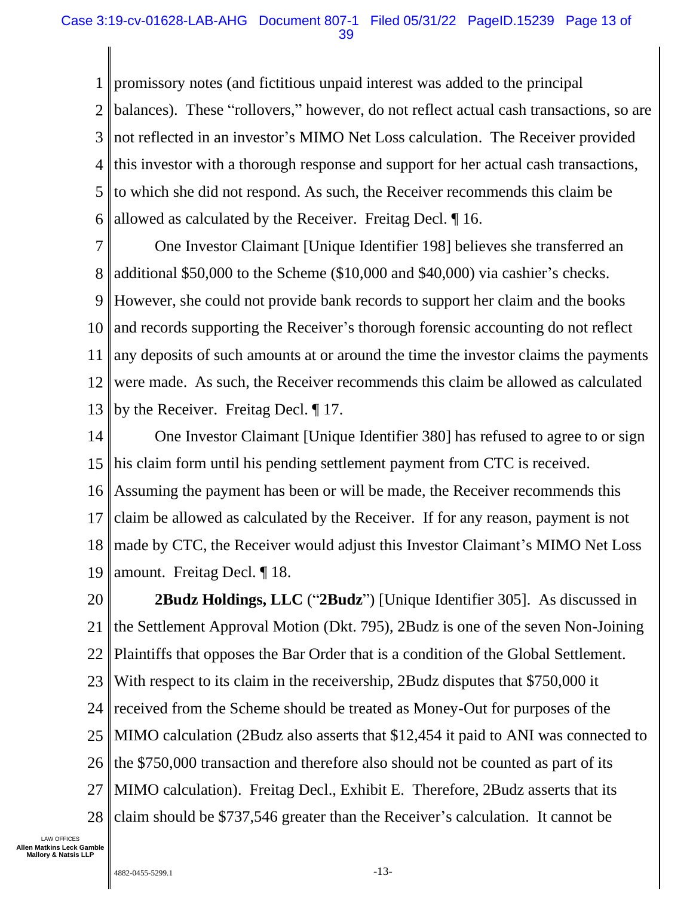1 2 3 4 5 6 promissory notes (and fictitious unpaid interest was added to the principal balances). These "rollovers," however, do not reflect actual cash transactions, so are not reflected in an investor's MIMO Net Loss calculation. The Receiver provided this investor with a thorough response and support for her actual cash transactions, to which she did not respond. As such, the Receiver recommends this claim be allowed as calculated by the Receiver. Freitag Decl. ¶ 16.

7 8 9 10 11 12 13 One Investor Claimant [Unique Identifier 198] believes she transferred an additional \$50,000 to the Scheme (\$10,000 and \$40,000) via cashier's checks. However, she could not provide bank records to support her claim and the books and records supporting the Receiver's thorough forensic accounting do not reflect any deposits of such amounts at or around the time the investor claims the payments were made. As such, the Receiver recommends this claim be allowed as calculated by the Receiver. Freitag Decl. ¶ 17.

14 15 16 17 18 19 One Investor Claimant [Unique Identifier 380] has refused to agree to or sign his claim form until his pending settlement payment from CTC is received. Assuming the payment has been or will be made, the Receiver recommends this claim be allowed as calculated by the Receiver. If for any reason, payment is not made by CTC, the Receiver would adjust this Investor Claimant's MIMO Net Loss amount. Freitag Decl. ¶ 18.

20 21 22 23 24 25 26 27 28 **2Budz Holdings, LLC** ("**2Budz**") [Unique Identifier 305]. As discussed in the Settlement Approval Motion (Dkt. 795), 2Budz is one of the seven Non-Joining Plaintiffs that opposes the Bar Order that is a condition of the Global Settlement. With respect to its claim in the receivership, 2Budz disputes that \$750,000 it received from the Scheme should be treated as Money-Out for purposes of the MIMO calculation (2Budz also asserts that \$12,454 it paid to ANI was connected to the \$750,000 transaction and therefore also should not be counted as part of its MIMO calculation). Freitag Decl., Exhibit E. Therefore, 2Budz asserts that its claim should be \$737,546 greater than the Receiver's calculation. It cannot be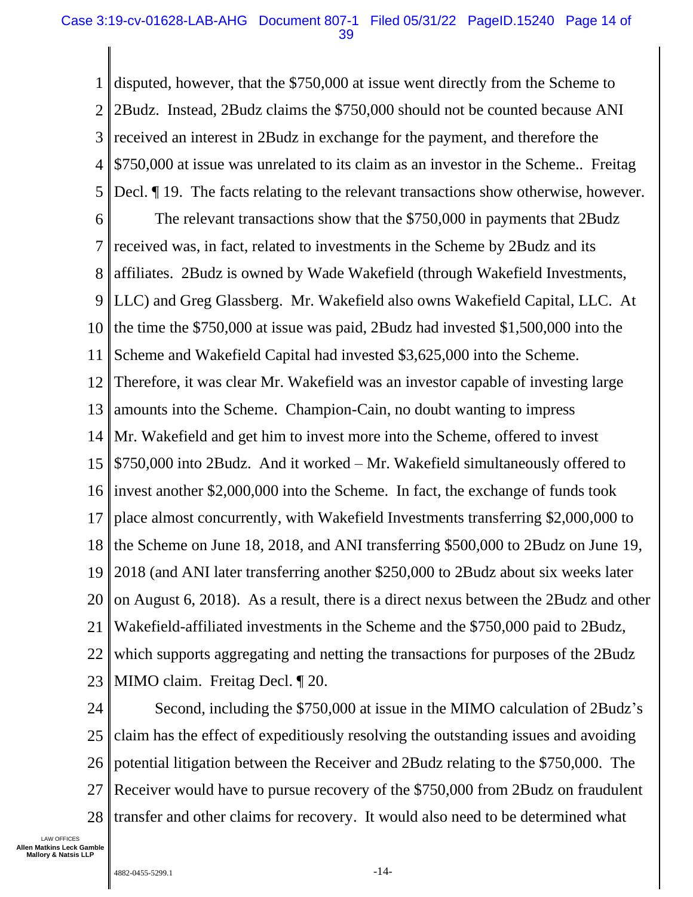1 2 3 4 5 6 7 8 9 10 11 12 13 14 15 16 17 18 19 20 21 22 23 disputed, however, that the \$750,000 at issue went directly from the Scheme to 2Budz. Instead, 2Budz claims the \$750,000 should not be counted because ANI received an interest in 2Budz in exchange for the payment, and therefore the \$750,000 at issue was unrelated to its claim as an investor in the Scheme.. Freitag Decl. ¶ 19. The facts relating to the relevant transactions show otherwise, however. The relevant transactions show that the \$750,000 in payments that 2Budz received was, in fact, related to investments in the Scheme by 2Budz and its affiliates. 2Budz is owned by Wade Wakefield (through Wakefield Investments, LLC) and Greg Glassberg. Mr. Wakefield also owns Wakefield Capital, LLC. At the time the \$750,000 at issue was paid, 2Budz had invested \$1,500,000 into the Scheme and Wakefield Capital had invested \$3,625,000 into the Scheme. Therefore, it was clear Mr. Wakefield was an investor capable of investing large amounts into the Scheme. Champion-Cain, no doubt wanting to impress Mr. Wakefield and get him to invest more into the Scheme, offered to invest \$750,000 into 2Budz. And it worked – Mr. Wakefield simultaneously offered to invest another \$2,000,000 into the Scheme. In fact, the exchange of funds took place almost concurrently, with Wakefield Investments transferring \$2,000,000 to the Scheme on June 18, 2018, and ANI transferring \$500,000 to 2Budz on June 19, 2018 (and ANI later transferring another \$250,000 to 2Budz about six weeks later on August 6, 2018). As a result, there is a direct nexus between the 2Budz and other Wakefield-affiliated investments in the Scheme and the \$750,000 paid to 2Budz, which supports aggregating and netting the transactions for purposes of the 2Budz MIMO claim. Freitag Decl. ¶ 20.

24 25 26 27 28 Second, including the \$750,000 at issue in the MIMO calculation of 2Budz's claim has the effect of expeditiously resolving the outstanding issues and avoiding potential litigation between the Receiver and 2Budz relating to the \$750,000. The Receiver would have to pursue recovery of the \$750,000 from 2Budz on fraudulent transfer and other claims for recovery. It would also need to be determined what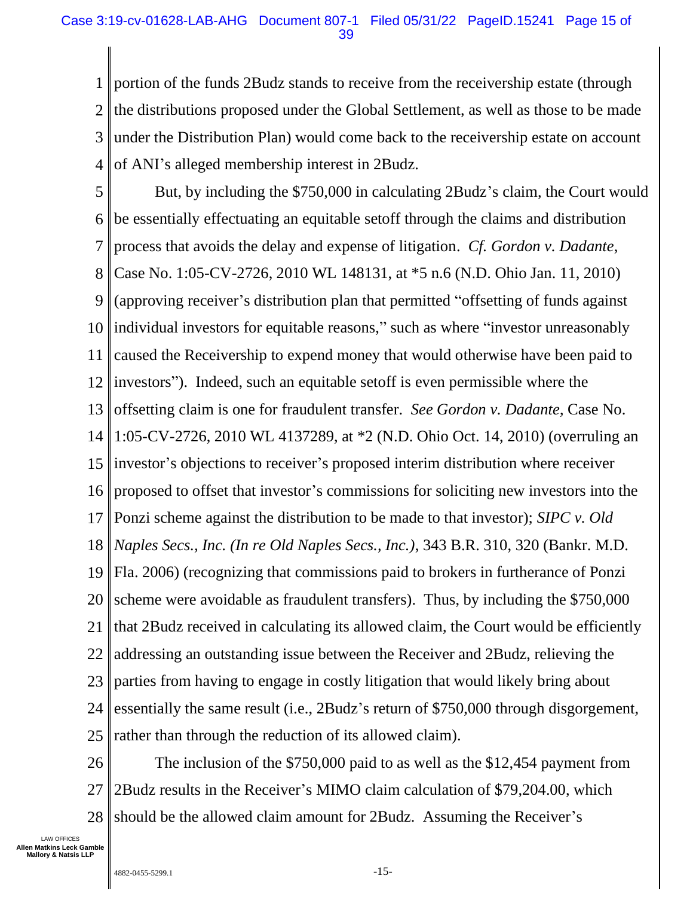1 2 3 4 portion of the funds 2Budz stands to receive from the receivership estate (through the distributions proposed under the Global Settlement, as well as those to be made under the Distribution Plan) would come back to the receivership estate on account of ANI's alleged membership interest in 2Budz.

5 6 7 8 9 10 11 12 13 14 15 16 17 18 19 20 21 22 23 24 25 But, by including the \$750,000 in calculating 2Budz's claim, the Court would be essentially effectuating an equitable setoff through the claims and distribution process that avoids the delay and expense of litigation. *Cf. Gordon v. Dadante*, Case No. 1:05-CV-2726, 2010 WL 148131, at \*5 n.6 (N.D. Ohio Jan. 11, 2010) (approving receiver's distribution plan that permitted "offsetting of funds against individual investors for equitable reasons," such as where "investor unreasonably caused the Receivership to expend money that would otherwise have been paid to investors"). Indeed, such an equitable setoff is even permissible where the offsetting claim is one for fraudulent transfer. *See Gordon v. Dadante*, Case No. 1:05-CV-2726, 2010 WL 4137289, at \*2 (N.D. Ohio Oct. 14, 2010) (overruling an investor's objections to receiver's proposed interim distribution where receiver proposed to offset that investor's commissions for soliciting new investors into the Ponzi scheme against the distribution to be made to that investor); *SIPC v. Old Naples Secs., Inc. (In re Old Naples Secs., Inc.)*, 343 B.R. 310, 320 (Bankr. M.D. Fla. 2006) (recognizing that commissions paid to brokers in furtherance of Ponzi scheme were avoidable as fraudulent transfers). Thus, by including the \$750,000 that 2Budz received in calculating its allowed claim, the Court would be efficiently addressing an outstanding issue between the Receiver and 2Budz, relieving the parties from having to engage in costly litigation that would likely bring about essentially the same result (i.e., 2Budz's return of \$750,000 through disgorgement, rather than through the reduction of its allowed claim).

26 27 28 The inclusion of the \$750,000 paid to as well as the \$12,454 payment from 2Budz results in the Receiver's MIMO claim calculation of \$79,204.00, which should be the allowed claim amount for 2Budz. Assuming the Receiver's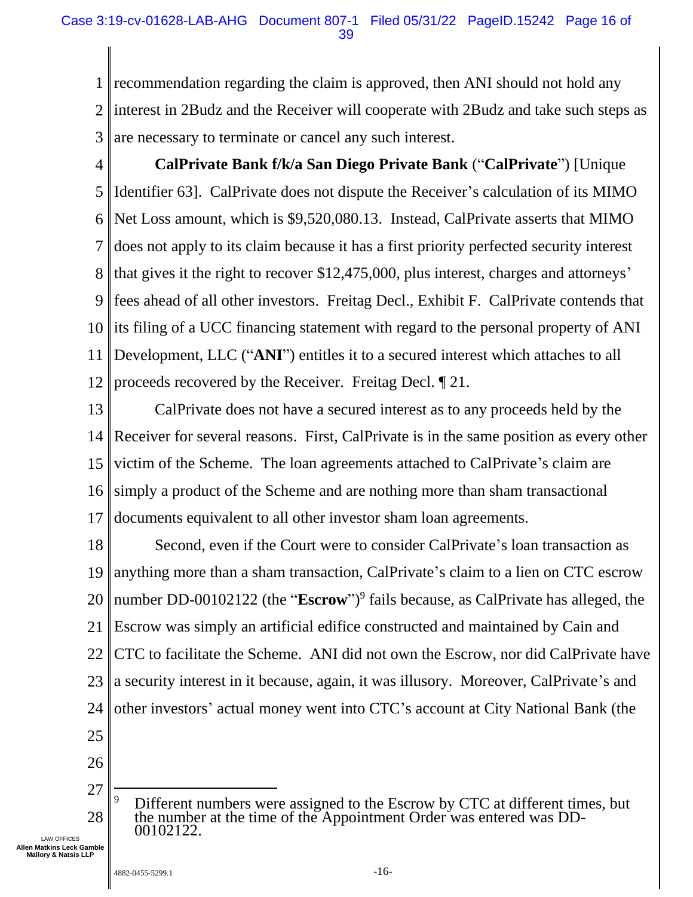1 2 3 recommendation regarding the claim is approved, then ANI should not hold any interest in 2Budz and the Receiver will cooperate with 2Budz and take such steps as are necessary to terminate or cancel any such interest.

4 5 6 7 8 9 10 11 12 **CalPrivate Bank f/k/a San Diego Private Bank** ("**CalPrivate**") [Unique Identifier 63]. CalPrivate does not dispute the Receiver's calculation of its MIMO Net Loss amount, which is \$9,520,080.13. Instead, CalPrivate asserts that MIMO does not apply to its claim because it has a first priority perfected security interest that gives it the right to recover \$12,475,000, plus interest, charges and attorneys' fees ahead of all other investors. Freitag Decl., Exhibit F. CalPrivate contends that its filing of a UCC financing statement with regard to the personal property of ANI Development, LLC ("**ANI**") entitles it to a secured interest which attaches to all proceeds recovered by the Receiver. Freitag Decl. ¶ 21.

13 14 15 16 17 CalPrivate does not have a secured interest as to any proceeds held by the Receiver for several reasons. First, CalPrivate is in the same position as every other victim of the Scheme. The loan agreements attached to CalPrivate's claim are simply a product of the Scheme and are nothing more than sham transactional documents equivalent to all other investor sham loan agreements.

18 19 20 21 22 23 24 25 Second, even if the Court were to consider CalPrivate's loan transaction as anything more than a sham transaction, CalPrivate's claim to a lien on CTC escrow number DD-00102122 (the "**Escrow**")<sup>9</sup> fails because, as CalPrivate has alleged, the Escrow was simply an artificial edifice constructed and maintained by Cain and CTC to facilitate the Scheme. ANI did not own the Escrow, nor did CalPrivate have a security interest in it because, again, it was illusory. Moreover, CalPrivate's and other investors' actual money went into CTC's account at City National Bank (the

- 
- 26
- 27 28 Different numbers were assigned to the Escrow by CTC at different times, but the number at the time of the Appointment Order was entered was DD-00102122.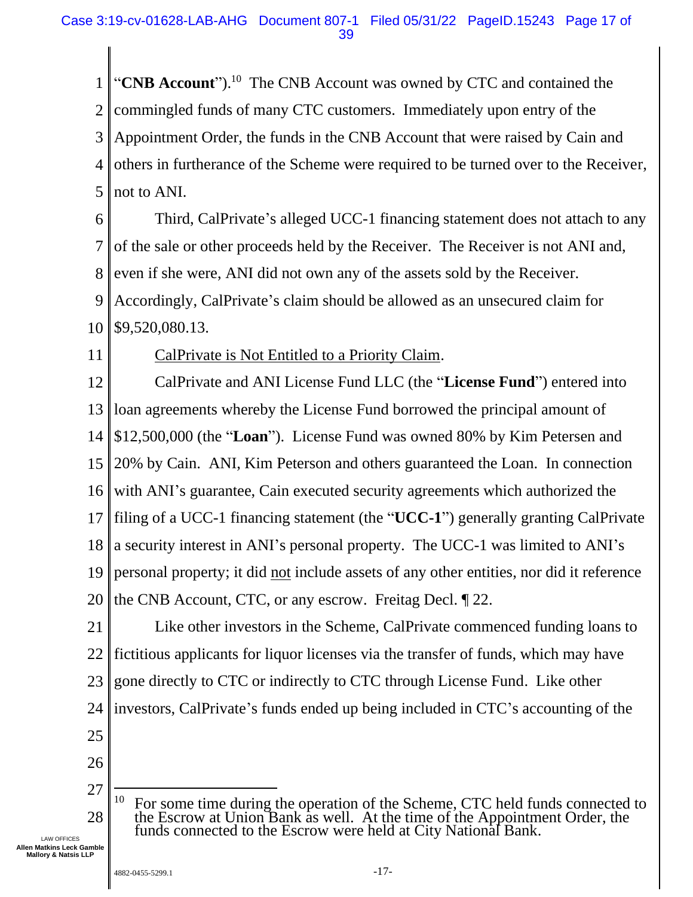1 2 3 4 5 "CNB Account").<sup>10</sup> The CNB Account was owned by CTC and contained the commingled funds of many CTC customers. Immediately upon entry of the Appointment Order, the funds in the CNB Account that were raised by Cain and others in furtherance of the Scheme were required to be turned over to the Receiver, not to ANI.

6 7 8 9 10 Third, CalPrivate's alleged UCC-1 financing statement does not attach to any of the sale or other proceeds held by the Receiver. The Receiver is not ANI and, even if she were, ANI did not own any of the assets sold by the Receiver. Accordingly, CalPrivate's claim should be allowed as an unsecured claim for \$9,520,080.13.

11

#### CalPrivate is Not Entitled to a Priority Claim.

12 13 14 15 16 17 18 19 20 CalPrivate and ANI License Fund LLC (the "**License Fund**") entered into loan agreements whereby the License Fund borrowed the principal amount of \$12,500,000 (the "**Loan**"). License Fund was owned 80% by Kim Petersen and 20% by Cain. ANI, Kim Peterson and others guaranteed the Loan. In connection with ANI's guarantee, Cain executed security agreements which authorized the filing of a UCC-1 financing statement (the "**UCC-1**") generally granting CalPrivate a security interest in ANI's personal property. The UCC-1 was limited to ANI's personal property; it did not include assets of any other entities, nor did it reference the CNB Account, CTC, or any escrow. Freitag Decl. ¶ 22.

21 22 23 24 25 Like other investors in the Scheme, CalPrivate commenced funding loans to fictitious applicants for liquor licenses via the transfer of funds, which may have gone directly to CTC or indirectly to CTC through License Fund. Like other investors, CalPrivate's funds ended up being included in CTC's accounting of the

- 
- 26
- 27 28 <sup>10</sup> For some time during the operation of the Scheme, CTC held funds connected to the Escrow at Union Bank as well. At the time of the Appointment Order, the funds connected to the Escrow were held at City National Bank.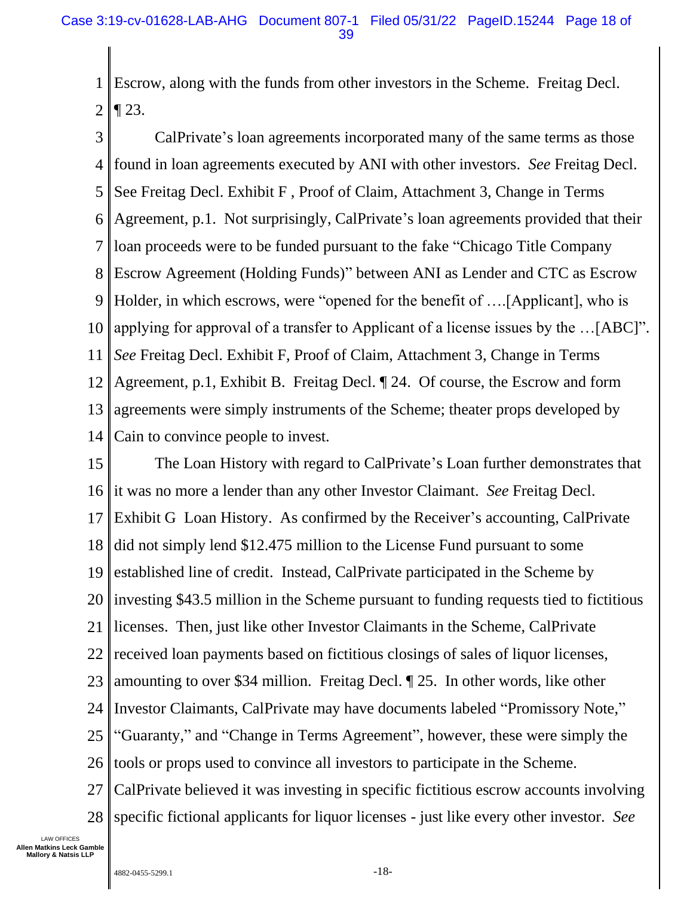1 2 Escrow, along with the funds from other investors in the Scheme. Freitag Decl.  $\P$  23.

3 4 5 6 7 8 9 10 11 12 13 14 CalPrivate's loan agreements incorporated many of the same terms as those found in loan agreements executed by ANI with other investors. *See* Freitag Decl. See Freitag Decl. Exhibit F , Proof of Claim, Attachment 3, Change in Terms Agreement, p.1. Not surprisingly, CalPrivate's loan agreements provided that their loan proceeds were to be funded pursuant to the fake "Chicago Title Company Escrow Agreement (Holding Funds)" between ANI as Lender and CTC as Escrow Holder, in which escrows, were "opened for the benefit of ….[Applicant], who is applying for approval of a transfer to Applicant of a license issues by the …[ABC]". *See* Freitag Decl. Exhibit F, Proof of Claim, Attachment 3, Change in Terms Agreement, p.1, Exhibit B. Freitag Decl. ¶ 24. Of course, the Escrow and form agreements were simply instruments of the Scheme; theater props developed by Cain to convince people to invest.

15 16 17 18 19 20 21 22 23 24 25 26 27 28 The Loan History with regard to CalPrivate's Loan further demonstrates that it was no more a lender than any other Investor Claimant. *See* Freitag Decl. Exhibit G Loan History. As confirmed by the Receiver's accounting, CalPrivate did not simply lend \$12.475 million to the License Fund pursuant to some established line of credit. Instead, CalPrivate participated in the Scheme by investing \$43.5 million in the Scheme pursuant to funding requests tied to fictitious licenses. Then, just like other Investor Claimants in the Scheme, CalPrivate received loan payments based on fictitious closings of sales of liquor licenses, amounting to over \$34 million. Freitag Decl. ¶ 25. In other words, like other Investor Claimants, CalPrivate may have documents labeled "Promissory Note," "Guaranty," and "Change in Terms Agreement", however, these were simply the tools or props used to convince all investors to participate in the Scheme. CalPrivate believed it was investing in specific fictitious escrow accounts involving specific fictional applicants for liquor licenses - just like every other investor. *See*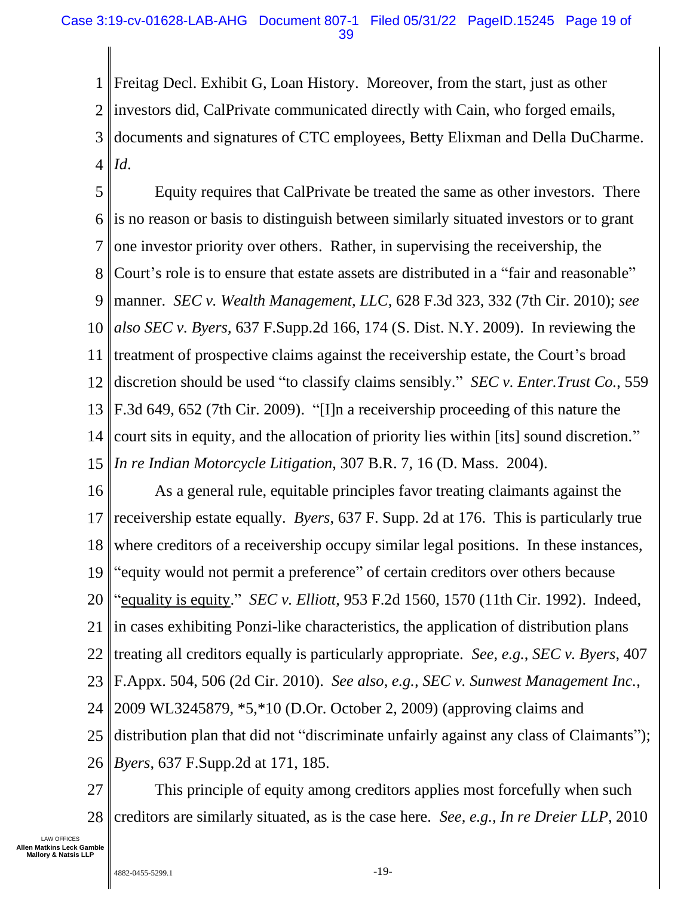1 2 3 4 Freitag Decl. Exhibit G, Loan History. Moreover, from the start, just as other investors did, CalPrivate communicated directly with Cain, who forged emails, documents and signatures of CTC employees, Betty Elixman and Della DuCharme. *Id*.

5 6 7 8 9 10 11 12 13 14 15 Equity requires that CalPrivate be treated the same as other investors. There is no reason or basis to distinguish between similarly situated investors or to grant one investor priority over others. Rather, in supervising the receivership, the Court's role is to ensure that estate assets are distributed in a "fair and reasonable" manner. *SEC v. Wealth Management, LLC*, 628 F.3d 323, 332 (7th Cir. 2010); *see also SEC v. Byers*, 637 F.Supp.2d 166, 174 (S. Dist. N.Y. 2009). In reviewing the treatment of prospective claims against the receivership estate, the Court's broad discretion should be used "to classify claims sensibly." *SEC v. Enter.Trust Co.*, 559 F.3d 649, 652 (7th Cir. 2009). "[I]n a receivership proceeding of this nature the court sits in equity, and the allocation of priority lies within [its] sound discretion." *In re Indian Motorcycle Litigation*, 307 B.R. 7, 16 (D. Mass. 2004).

16 17 18 19 20 21 22 23 24 25 26 As a general rule, equitable principles favor treating claimants against the receivership estate equally. *Byers*, 637 F. Supp. 2d at 176. This is particularly true where creditors of a receivership occupy similar legal positions. In these instances, "equity would not permit a preference" of certain creditors over others because "equality is equity." *SEC v. Elliott*, 953 F.2d 1560, 1570 (11th Cir. 1992). Indeed, in cases exhibiting Ponzi-like characteristics, the application of distribution plans treating all creditors equally is particularly appropriate. *See, e.g.*, *SEC v. Byers*, 407 F.Appx. 504, 506 (2d Cir. 2010). *See also, e.g., SEC v. Sunwest Management Inc.*, 2009 WL3245879, \*5,\*10 (D.Or. October 2, 2009) (approving claims and distribution plan that did not "discriminate unfairly against any class of Claimants"); *Byers*, 637 F.Supp.2d at 171, 185.

27 28 This principle of equity among creditors applies most forcefully when such creditors are similarly situated, as is the case here. *See, e.g., In re Dreier LLP*, 2010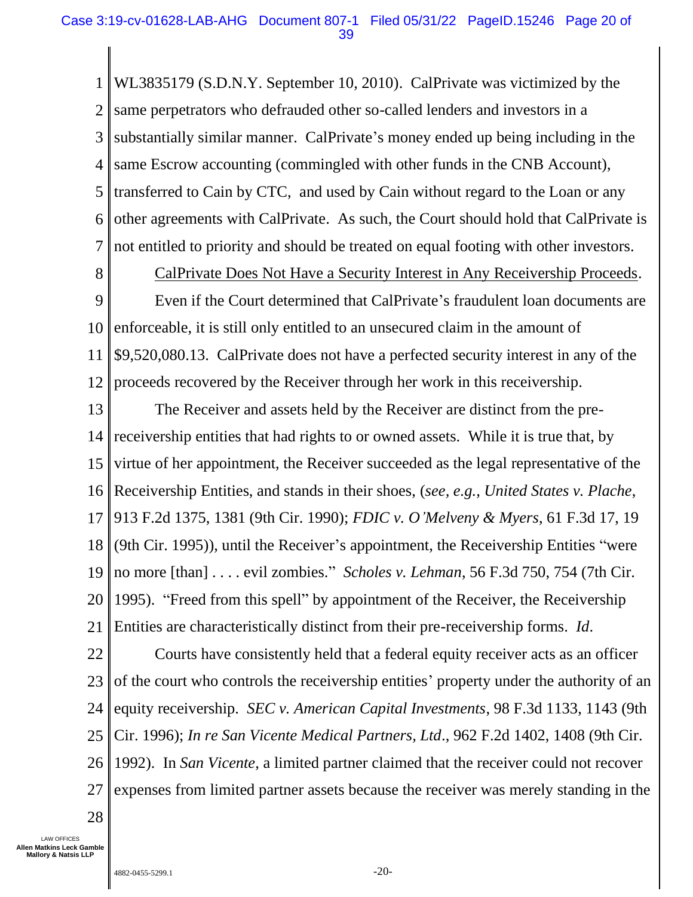1 2 3 4 5 6 7 WL3835179 (S.D.N.Y. September 10, 2010). CalPrivate was victimized by the same perpetrators who defrauded other so-called lenders and investors in a substantially similar manner. CalPrivate's money ended up being including in the same Escrow accounting (commingled with other funds in the CNB Account), transferred to Cain by CTC, and used by Cain without regard to the Loan or any other agreements with CalPrivate. As such, the Court should hold that CalPrivate is not entitled to priority and should be treated on equal footing with other investors.

8

CalPrivate Does Not Have a Security Interest in Any Receivership Proceeds.

9 10 11 12 Even if the Court determined that CalPrivate's fraudulent loan documents are enforceable, it is still only entitled to an unsecured claim in the amount of \$9,520,080.13. CalPrivate does not have a perfected security interest in any of the proceeds recovered by the Receiver through her work in this receivership.

13 14 15 16 17 18 19 20 21 The Receiver and assets held by the Receiver are distinct from the prereceivership entities that had rights to or owned assets. While it is true that, by virtue of her appointment, the Receiver succeeded as the legal representative of the Receivership Entities, and stands in their shoes, (*see, e.g., United States v. Plache*, 913 F.2d 1375, 1381 (9th Cir. 1990); *FDIC v. O'Melveny & Myers*, 61 F.3d 17, 19 (9th Cir. 1995)), until the Receiver's appointment, the Receivership Entities "were no more [than] . . . . evil zombies." *Scholes v. Lehman*, 56 F.3d 750, 754 (7th Cir. 1995). "Freed from this spell" by appointment of the Receiver, the Receivership Entities are characteristically distinct from their pre-receivership forms. *Id*.

22 23 24 25 26 27 Courts have consistently held that a federal equity receiver acts as an officer of the court who controls the receivership entities' property under the authority of an equity receivership. *SEC v. American Capital Investments*, 98 F.3d 1133, 1143 (9th Cir. 1996); *In re San Vicente Medical Partners, Ltd*., 962 F.2d 1402, 1408 (9th Cir. 1992). In *San Vicente*, a limited partner claimed that the receiver could not recover expenses from limited partner assets because the receiver was merely standing in the

28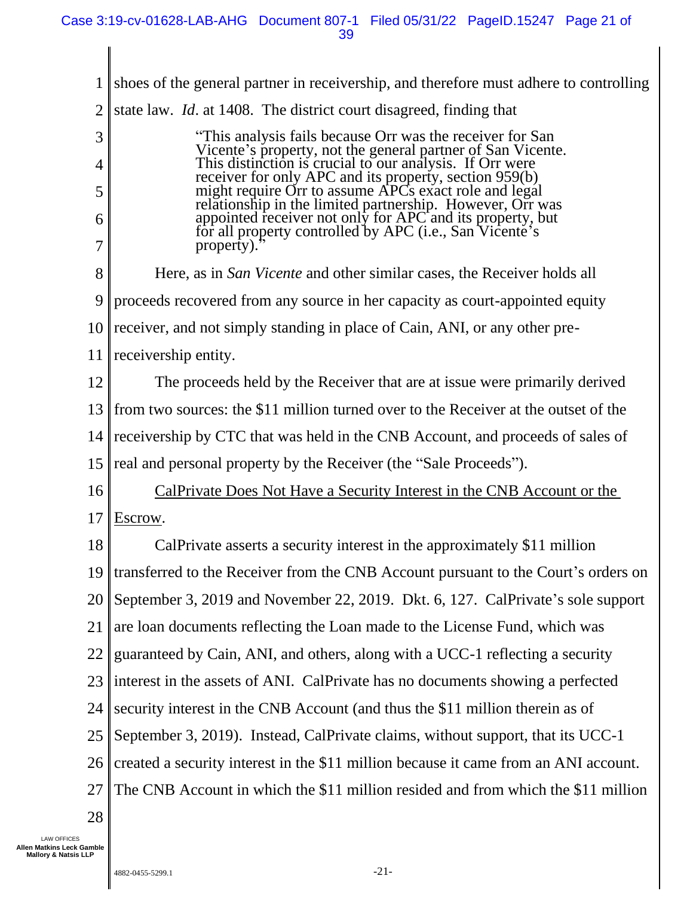1 2 3 4 5 6 7 8 9 10 11 12 13 14 15 16 17 18 19 20 21 22 23 24 25 26 27 28 shoes of the general partner in receivership, and therefore must adhere to controlling state law. *Id*. at 1408. The district court disagreed, finding that "This analysis fails because Orr was the receiver for San Vicente's property, not the general partner of San Vicente. This distinction is crucial to our analysis. If Orr were receiver for only APC and its property, section 959(b) might require Orr to assume APCs exact role and legal relationship in the limited partnership. However, Orr was appointed receiver not only for APC and its property, but for all property controlled by APC (i.e., San Vicente's property). Here, as in *San Vicente* and other similar cases, the Receiver holds all proceeds recovered from any source in her capacity as court-appointed equity receiver, and not simply standing in place of Cain, ANI, or any other prereceivership entity. The proceeds held by the Receiver that are at issue were primarily derived from two sources: the \$11 million turned over to the Receiver at the outset of the receivership by CTC that was held in the CNB Account, and proceeds of sales of real and personal property by the Receiver (the "Sale Proceeds"). CalPrivate Does Not Have a Security Interest in the CNB Account or the Escrow. CalPrivate asserts a security interest in the approximately \$11 million transferred to the Receiver from the CNB Account pursuant to the Court's orders on September 3, 2019 and November 22, 2019. Dkt. 6, 127. CalPrivate's sole support are loan documents reflecting the Loan made to the License Fund, which was guaranteed by Cain, ANI, and others, along with a UCC-1 reflecting a security interest in the assets of ANI. CalPrivate has no documents showing a perfected security interest in the CNB Account (and thus the \$11 million therein as of September 3, 2019). Instead, CalPrivate claims, without support, that its UCC-1 created a security interest in the \$11 million because it came from an ANI account. The CNB Account in which the \$11 million resided and from which the \$11 million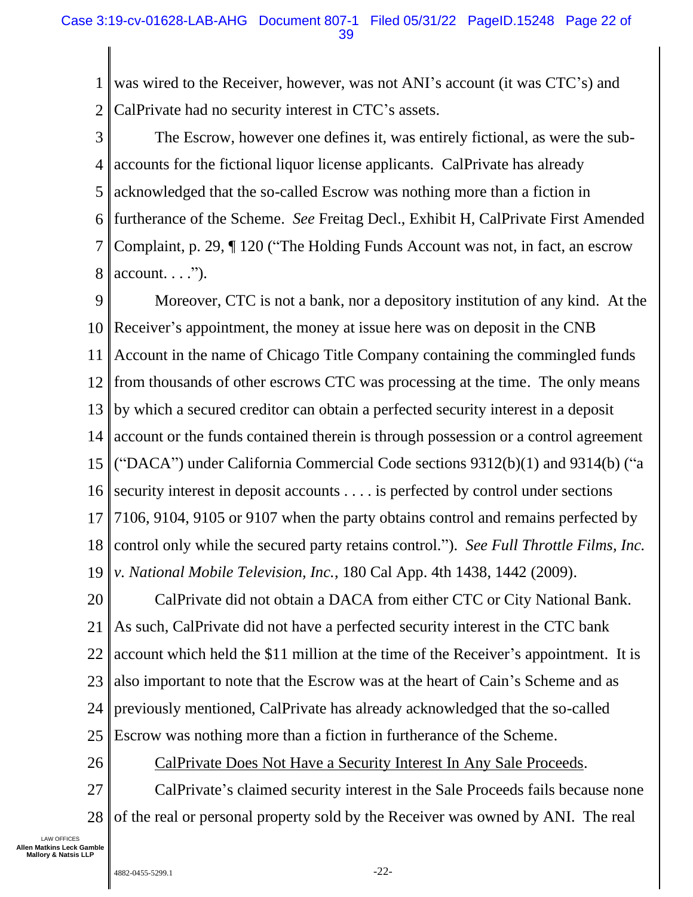1 2 was wired to the Receiver, however, was not ANI's account (it was CTC's) and CalPrivate had no security interest in CTC's assets.

3 4 5 6 7 8 The Escrow, however one defines it, was entirely fictional, as were the subaccounts for the fictional liquor license applicants. CalPrivate has already acknowledged that the so-called Escrow was nothing more than a fiction in furtherance of the Scheme. *See* Freitag Decl., Exhibit H, CalPrivate First Amended Complaint, p. 29, ¶ 120 ("The Holding Funds Account was not, in fact, an escrow  $account. . . .".$ 

9 10 11 12 13 14 15 16 17 18 19 Moreover, CTC is not a bank, nor a depository institution of any kind. At the Receiver's appointment, the money at issue here was on deposit in the CNB Account in the name of Chicago Title Company containing the commingled funds from thousands of other escrows CTC was processing at the time. The only means by which a secured creditor can obtain a perfected security interest in a deposit account or the funds contained therein is through possession or a control agreement ("DACA") under California Commercial Code sections 9312(b)(1) and 9314(b) ("a security interest in deposit accounts . . . . is perfected by control under sections 7106, 9104, 9105 or 9107 when the party obtains control and remains perfected by control only while the secured party retains control."). *See Full Throttle Films, Inc. v. National Mobile Television, Inc.*, 180 Cal App. 4th 1438, 1442 (2009).

20 21 22 23 24 25 CalPrivate did not obtain a DACA from either CTC or City National Bank. As such, CalPrivate did not have a perfected security interest in the CTC bank account which held the \$11 million at the time of the Receiver's appointment. It is also important to note that the Escrow was at the heart of Cain's Scheme and as previously mentioned, CalPrivate has already acknowledged that the so-called Escrow was nothing more than a fiction in furtherance of the Scheme.

26 CalPrivate Does Not Have a Security Interest In Any Sale Proceeds.

27 28 CalPrivate's claimed security interest in the Sale Proceeds fails because none of the real or personal property sold by the Receiver was owned by ANI. The real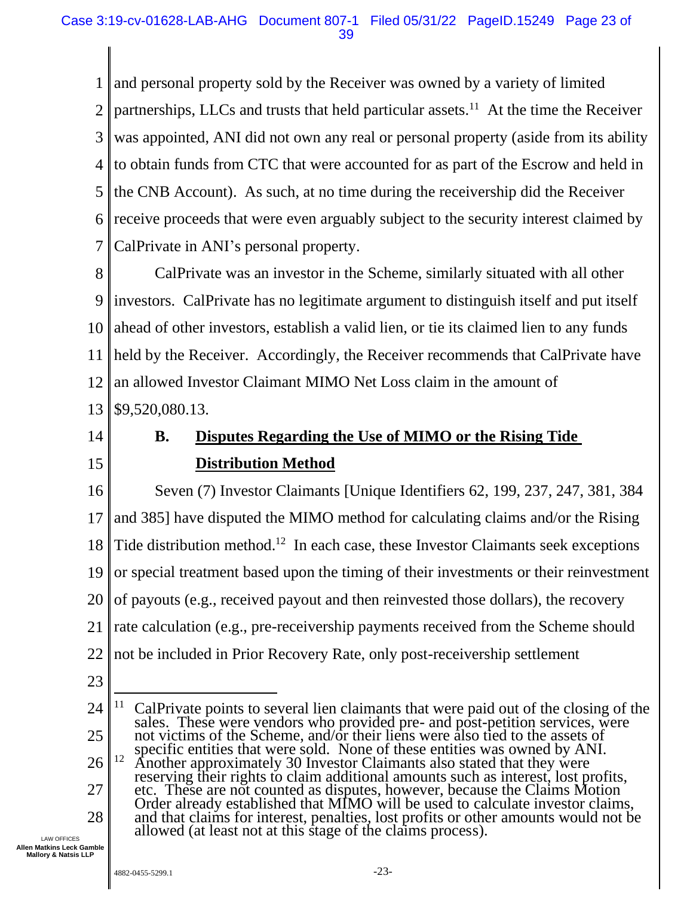1 2 3 4 5 6 7 and personal property sold by the Receiver was owned by a variety of limited partnerships, LLCs and trusts that held particular assets.<sup>11</sup> At the time the Receiver was appointed, ANI did not own any real or personal property (aside from its ability to obtain funds from CTC that were accounted for as part of the Escrow and held in the CNB Account). As such, at no time during the receivership did the Receiver receive proceeds that were even arguably subject to the security interest claimed by CalPrivate in ANI's personal property.

8 9 10 11 12 13 CalPrivate was an investor in the Scheme, similarly situated with all other investors. CalPrivate has no legitimate argument to distinguish itself and put itself ahead of other investors, establish a valid lien, or tie its claimed lien to any funds held by the Receiver. Accordingly, the Receiver recommends that CalPrivate have an allowed Investor Claimant MIMO Net Loss claim in the amount of \$9,520,080.13.

<span id="page-22-0"></span>14

15

### **B. Disputes Regarding the Use of MIMO or the Rising Tide Distribution Method**

16 17 18 19 20 21 22 Seven (7) Investor Claimants [Unique Identifiers 62, 199, 237, 247, 381, 384 and 385] have disputed the MIMO method for calculating claims and/or the Rising Tide distribution method.<sup>12</sup> In each case, these Investor Claimants seek exceptions or special treatment based upon the timing of their investments or their reinvestment of payouts (e.g., received payout and then reinvested those dollars), the recovery rate calculation (e.g., pre-receivership payments received from the Scheme should not be included in Prior Recovery Rate, only post-receivership settlement

23

allowed (at least not at this stage of the claims process).

<sup>24</sup> 25 26 27 28 <sup>11</sup> CalPrivate points to several lien claimants that were paid out of the closing of the sales. These were vendors who provided pre- and post-petition services, were not victims of the Scheme, and/or their liens were also tied to the assets of specific entities that were sold. None of these entities was owned by ANI. <sup>12</sup> Another approximately 30 Investor Claimants also stated that they were reserving their rights to claim additional amounts such as interest, lost profits, etc. These are not counted as disputes, however, because the Claims Motion Order already established that MIMO will be used to calculate investor claims, and that claims for interest, penalties, lost profits or other amounts would not be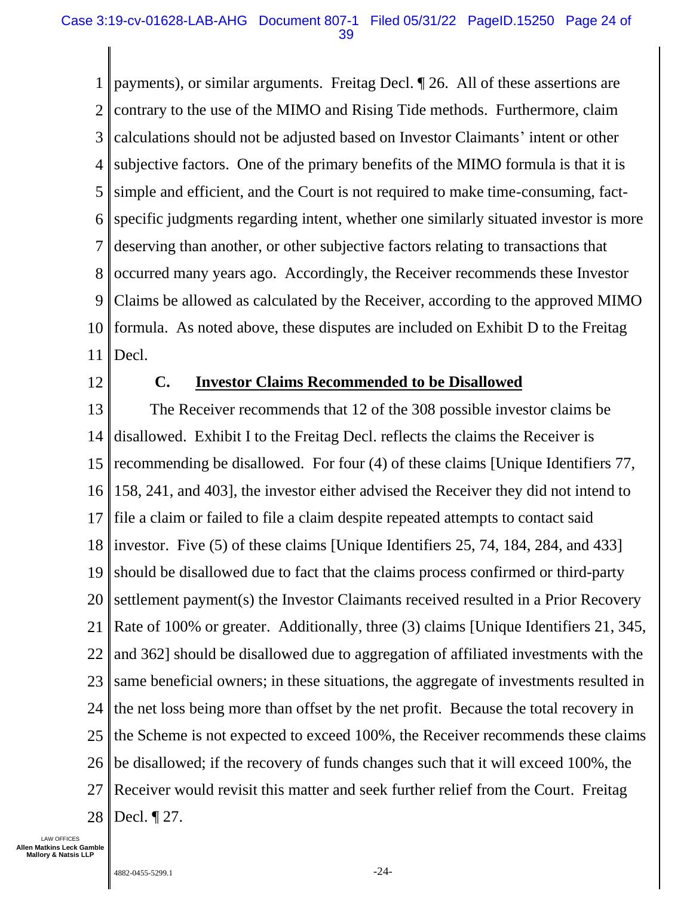1 2 3 4 5 6 7 8 9 10 11 payments), or similar arguments. Freitag Decl. ¶ 26. All of these assertions are contrary to the use of the MIMO and Rising Tide methods. Furthermore, claim calculations should not be adjusted based on Investor Claimants' intent or other subjective factors. One of the primary benefits of the MIMO formula is that it is simple and efficient, and the Court is not required to make time-consuming, factspecific judgments regarding intent, whether one similarly situated investor is more deserving than another, or other subjective factors relating to transactions that occurred many years ago. Accordingly, the Receiver recommends these Investor Claims be allowed as calculated by the Receiver, according to the approved MIMO formula. As noted above, these disputes are included on Exhibit D to the Freitag Decl.

<span id="page-23-0"></span>12

#### **C. Investor Claims Recommended to be Disallowed**

<span id="page-23-1"></span>13 14 15 16 17 18 19 20 21 22 23 24 25 26 27 28 The Receiver recommends that 12 of the 308 possible investor claims be disallowed. Exhibit I to the Freitag Decl. reflects the claims the Receiver is recommending be disallowed. For four (4) of these claims [Unique Identifiers 77, 158, 241, and 403], the investor either advised the Receiver they did not intend to file a claim or failed to file a claim despite repeated attempts to contact said investor. Five (5) of these claims [Unique Identifiers 25, 74, 184, 284, and 433] should be disallowed due to fact that the claims process confirmed or third-party settlement payment(s) the Investor Claimants received resulted in a Prior Recovery Rate of 100% or greater. Additionally, three (3) claims [Unique Identifiers 21, 345, and 362] should be disallowed due to aggregation of affiliated investments with the same beneficial owners; in these situations, the aggregate of investments resulted in the net loss being more than offset by the net profit. Because the total recovery in the Scheme is not expected to exceed 100%, the Receiver recommends these claims be disallowed; if the recovery of funds changes such that it will exceed 100%, the Receiver would revisit this matter and seek further relief from the Court. Freitag Decl. ¶ 27.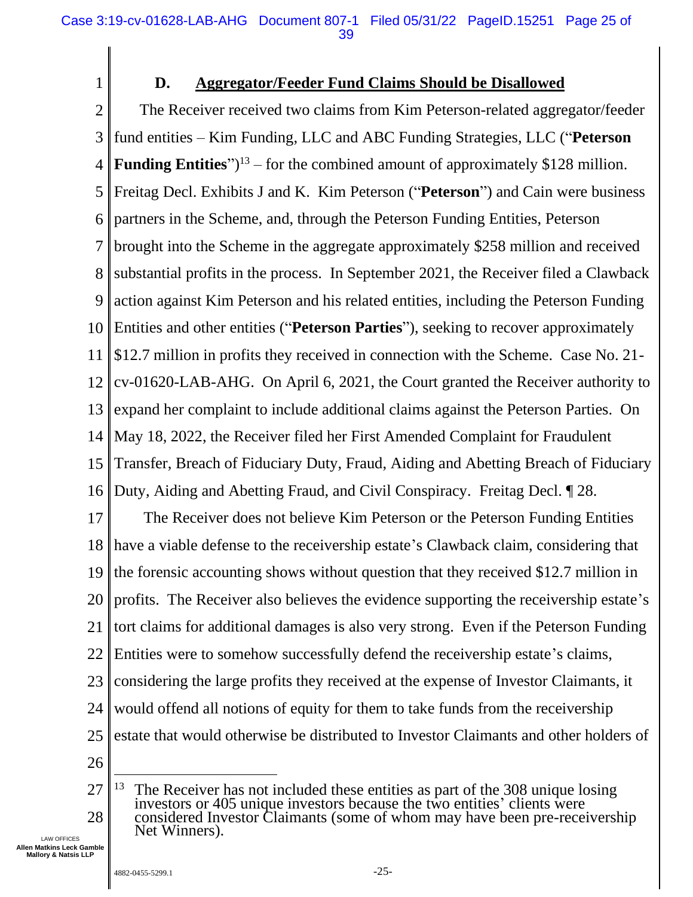<span id="page-24-0"></span>1

#### **D. Aggregator/Feeder Fund Claims Should be Disallowed**

2 3 4 5 6 7 8 9 10 11 12 13 14 15 16 The Receiver received two claims from Kim Peterson-related aggregator/feeder fund entities – Kim Funding, LLC and ABC Funding Strategies, LLC ("**Peterson Funding Entities**" $)^{13}$  – for the combined amount of approximately \$128 million. Freitag Decl. Exhibits J and K. Kim Peterson ("**Peterson**") and Cain were business partners in the Scheme, and, through the Peterson Funding Entities, Peterson brought into the Scheme in the aggregate approximately \$258 million and received substantial profits in the process. In September 2021, the Receiver filed a Clawback action against Kim Peterson and his related entities, including the Peterson Funding Entities and other entities ("**Peterson Parties**"), seeking to recover approximately \$12.7 million in profits they received in connection with the Scheme. Case No. 21 cv-01620-LAB-AHG. On April 6, 2021, the Court granted the Receiver authority to expand her complaint to include additional claims against the Peterson Parties. On May 18, 2022, the Receiver filed her First Amended Complaint for Fraudulent Transfer, Breach of Fiduciary Duty, Fraud, Aiding and Abetting Breach of Fiduciary Duty, Aiding and Abetting Fraud, and Civil Conspiracy. Freitag Decl. ¶ 28.

17 18 19 20 21 22 23 24 25 The Receiver does not believe Kim Peterson or the Peterson Funding Entities have a viable defense to the receivership estate's Clawback claim, considering that the forensic accounting shows without question that they received \$12.7 million in profits. The Receiver also believes the evidence supporting the receivership estate's tort claims for additional damages is also very strong. Even if the Peterson Funding Entities were to somehow successfully defend the receivership estate's claims, considering the large profits they received at the expense of Investor Claimants, it would offend all notions of equity for them to take funds from the receivership estate that would otherwise be distributed to Investor Claimants and other holders of

26

<sup>27</sup> 28  $13$  The Receiver has not included these entities as part of the 308 unique losing investors or 405 unique investors because the two entities' clients were considered Investor Claimants (some of whom may have been pre-receivership Net Winners).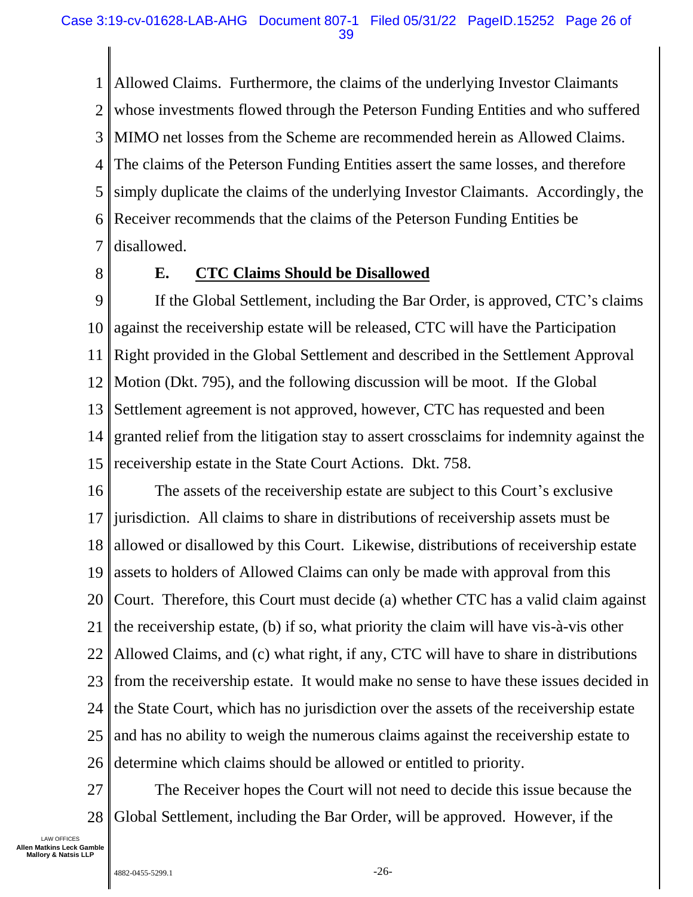1 2 3 4 5 6 7 Allowed Claims. Furthermore, the claims of the underlying Investor Claimants whose investments flowed through the Peterson Funding Entities and who suffered MIMO net losses from the Scheme are recommended herein as Allowed Claims. The claims of the Peterson Funding Entities assert the same losses, and therefore simply duplicate the claims of the underlying Investor Claimants. Accordingly, the Receiver recommends that the claims of the Peterson Funding Entities be disallowed.

<span id="page-25-0"></span>8

#### **E. CTC Claims Should be Disallowed**

9 10 11 12 13 14 15 If the Global Settlement, including the Bar Order, is approved, CTC's claims against the receivership estate will be released, CTC will have the Participation Right provided in the Global Settlement and described in the Settlement Approval Motion (Dkt. 795), and the following discussion will be moot. If the Global Settlement agreement is not approved, however, CTC has requested and been granted relief from the litigation stay to assert crossclaims for indemnity against the receivership estate in the State Court Actions. Dkt. 758.

16 17 18 19 20 21 22 23 24 25 26 The assets of the receivership estate are subject to this Court's exclusive jurisdiction. All claims to share in distributions of receivership assets must be allowed or disallowed by this Court. Likewise, distributions of receivership estate assets to holders of Allowed Claims can only be made with approval from this Court. Therefore, this Court must decide (a) whether CTC has a valid claim against the receivership estate, (b) if so, what priority the claim will have vis-à-vis other Allowed Claims, and (c) what right, if any, CTC will have to share in distributions from the receivership estate. It would make no sense to have these issues decided in the State Court, which has no jurisdiction over the assets of the receivership estate and has no ability to weigh the numerous claims against the receivership estate to determine which claims should be allowed or entitled to priority.

27 28 The Receiver hopes the Court will not need to decide this issue because the Global Settlement, including the Bar Order, will be approved. However, if the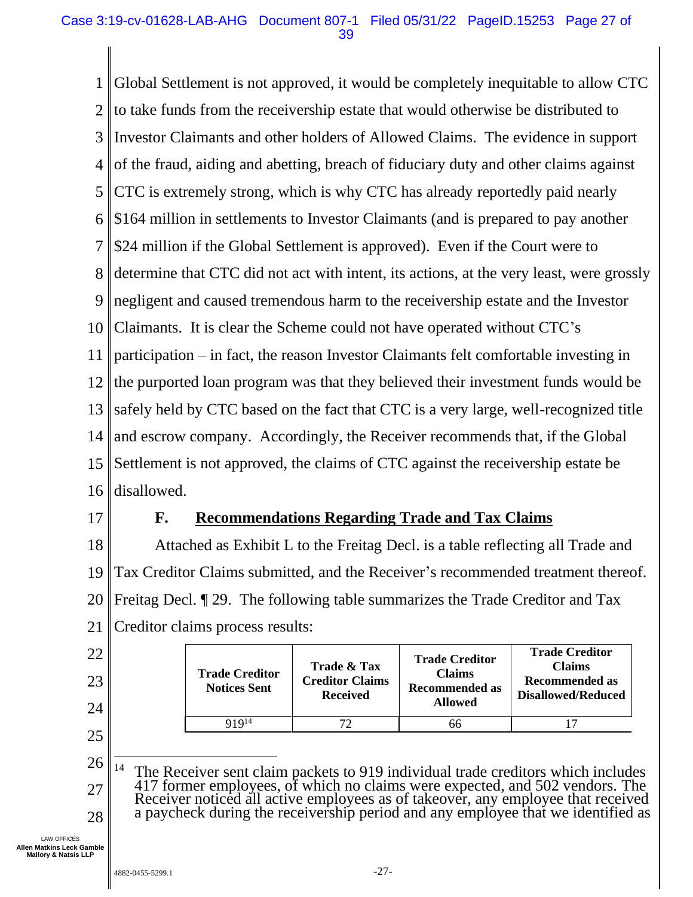1 2 3 4 5 6 7 8 9 10 11 12 13 14 15 16 Global Settlement is not approved, it would be completely inequitable to allow CTC to take funds from the receivership estate that would otherwise be distributed to Investor Claimants and other holders of Allowed Claims. The evidence in support of the fraud, aiding and abetting, breach of fiduciary duty and other claims against CTC is extremely strong, which is why CTC has already reportedly paid nearly \$164 million in settlements to Investor Claimants (and is prepared to pay another \$24 million if the Global Settlement is approved). Even if the Court were to determine that CTC did not act with intent, its actions, at the very least, were grossly negligent and caused tremendous harm to the receivership estate and the Investor Claimants. It is clear the Scheme could not have operated without CTC's participation – in fact, the reason Investor Claimants felt comfortable investing in the purported loan program was that they believed their investment funds would be safely held by CTC based on the fact that CTC is a very large, well-recognized title and escrow company. Accordingly, the Receiver recommends that, if the Global Settlement is not approved, the claims of CTC against the receivership estate be disallowed.

<span id="page-26-0"></span>17

#### **F. Recommendations Regarding Trade and Tax Claims**

18 19 20 21 Attached as Exhibit L to the Freitag Decl. is a table reflecting all Trade and Tax Creditor Claims submitted, and the Receiver's recommended treatment thereof. Freitag Decl. ¶ 29. The following table summarizes the Trade Creditor and Tax Creditor claims process results:

| 22<br>23<br>24 |                             | <b>Trade Creditor</b><br><b>Notices Sent</b> | <b>Trade &amp; Tax</b><br><b>Creditor Claims</b><br><b>Received</b> | <b>Trade Creditor</b><br><b>Claims</b><br><b>Recommended as</b><br><b>Allowed</b> | <b>Trade Creditor</b><br><b>Claims</b><br><b>Recommended as</b><br><b>Disallowed/Reduced</b> |  |
|----------------|-----------------------------|----------------------------------------------|---------------------------------------------------------------------|-----------------------------------------------------------------------------------|----------------------------------------------------------------------------------------------|--|
|                |                             | 919 <sup>14</sup>                            |                                                                     | 66                                                                                |                                                                                              |  |
| 25             |                             |                                              |                                                                     |                                                                                   |                                                                                              |  |
| 26             | <b>FIRE</b><br>$\mathbf{r}$ |                                              |                                                                     |                                                                                   |                                                                                              |  |

27 28 <sup>14</sup> The Receiver sent claim packets to 919 individual trade creditors which includes 417 former employees, of which no claims were expected, and 502 vendors. The Receiver noticed all active employees as of takeover, any employee that received a paycheck during the receivership period and any employee that we identified as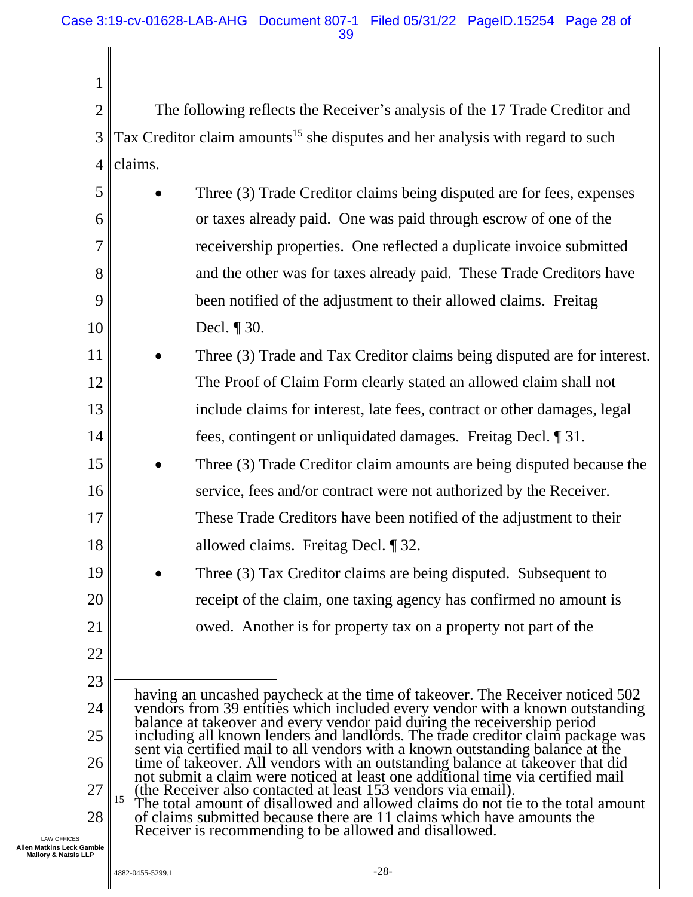2 3 4 The following reflects the Receiver's analysis of the 17 Trade Creditor and Tax Creditor claim amounts<sup>15</sup> she disputes and her analysis with regard to such claims.

| 5  | Three (3) Trade Creditor claims being disputed are for fees, expenses    |
|----|--------------------------------------------------------------------------|
| 6  | or taxes already paid. One was paid through escrow of one of the         |
| 7  | receivership properties. One reflected a duplicate invoice submitted     |
| 8  | and the other was for taxes already paid. These Trade Creditors have     |
| 9  | been notified of the adjustment to their allowed claims. Freitag         |
| 10 | Decl. $\P$ 30.                                                           |
| 11 | Three (3) Trade and Tax Creditor claims being disputed are for interest. |
| 12 | The Proof of Claim Form clearly stated an allowed claim shall not        |
| 13 | include claims for interest, late fees, contract or other damages, legal |
| 14 | fees, contingent or unliquidated damages. Freitag Decl. 1 31.            |
| 15 | Three (3) Trade Creditor claim amounts are being disputed because the    |
| 16 | service, fees and/or contract were not authorized by the Receiver.       |
| 17 | These Trade Creditors have been notified of the adjustment to their      |
| 18 | allowed claims. Freitag Decl. $\P$ 32.                                   |
| 19 | Three (3) Tax Creditor claims are being disputed. Subsequent to          |
|    |                                                                          |

21

20

1

22

23

24

25

26

27

having an uncashed paycheck at the time of takeover. The Receiver noticed 502 vendors from 39 entities which included every vendor with a known outstanding balance at takeover and every vendor paid during the receivership period including all known lenders and landlords. The trade creditor claim package was sent via certified mail to all vendors with a known outstanding balance at the time of takeover. All vendors with an outstanding balance at takeover that did not submit a claim were noticed at least one additional time via certified mail (the Receiver also contacted at least 153 vendors via email). <sup>15</sup> The total amount of disallowed and allowed claims do not tie to the total amount of claims submitted because there are 11 claims which have amounts the

receipt of the claim, one taxing agency has confirmed no amount is

owed. Another is for property tax on a property not part of the

LAW OFFICES **Allen Matkins Leck Gamble Mallory & Natsis LLP**

Receiver is recommending to be allowed and disallowed.

<sup>28</sup>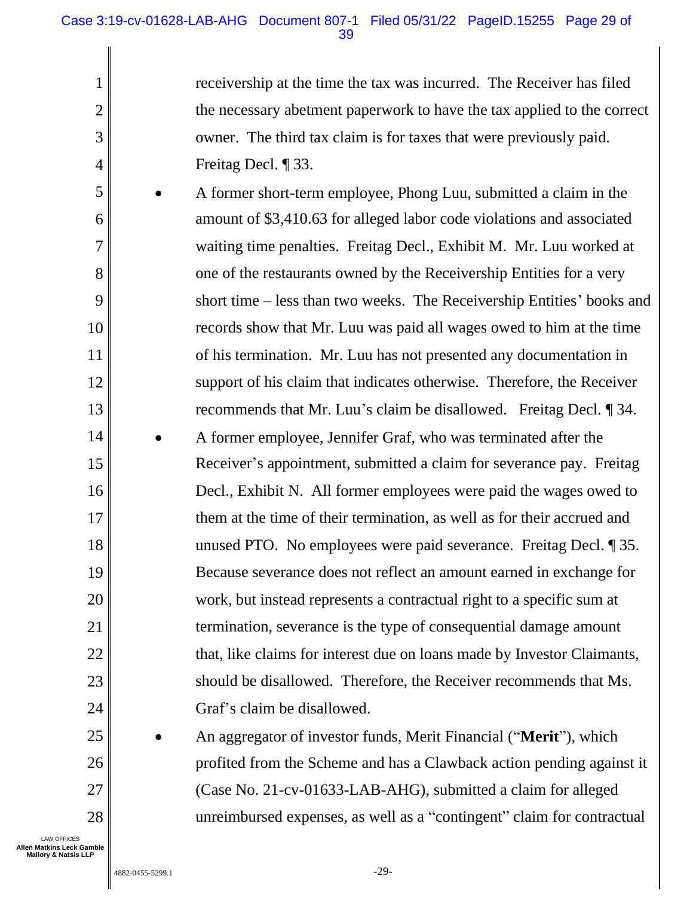receivership at the time the tax was incurred. The Receiver has filed the necessary abetment paperwork to have the tax applied to the correct owner. The third tax claim is for taxes that were previously paid. Freitag Decl. ¶ 33.

5 6 8 9 10 11 12 13 14 15 16 17 18 19 20 21 22 23 24 • A former short-term employee, Phong Luu, submitted a claim in the amount of \$3,410.63 for alleged labor code violations and associated waiting time penalties. Freitag Decl., Exhibit M. Mr. Luu worked at one of the restaurants owned by the Receivership Entities for a very short time – less than two weeks. The Receivership Entities' books and records show that Mr. Luu was paid all wages owed to him at the time of his termination. Mr. Luu has not presented any documentation in support of his claim that indicates otherwise. Therefore, the Receiver recommends that Mr. Luu's claim be disallowed. Freitag Decl. ¶ 34. • A former employee, Jennifer Graf, who was terminated after the Receiver's appointment, submitted a claim for severance pay. Freitag Decl., Exhibit N. All former employees were paid the wages owed to them at the time of their termination, as well as for their accrued and unused PTO. No employees were paid severance. Freitag Decl. ¶ 35. Because severance does not reflect an amount earned in exchange for work, but instead represents a contractual right to a specific sum at termination, severance is the type of consequential damage amount that, like claims for interest due on loans made by Investor Claimants, should be disallowed. Therefore, the Receiver recommends that Ms. Graf's claim be disallowed.

• An aggregator of investor funds, Merit Financial ("**Merit**"), which profited from the Scheme and has a Clawback action pending against it (Case No. 21-cv-01633-LAB-AHG), submitted a claim for alleged unreimbursed expenses, as well as a "contingent" claim for contractual

LAW OFFICES **Allen Matkins Leck Gamble Mallory & Natsis LLP**

25

26

27

28

1

2

3

4

7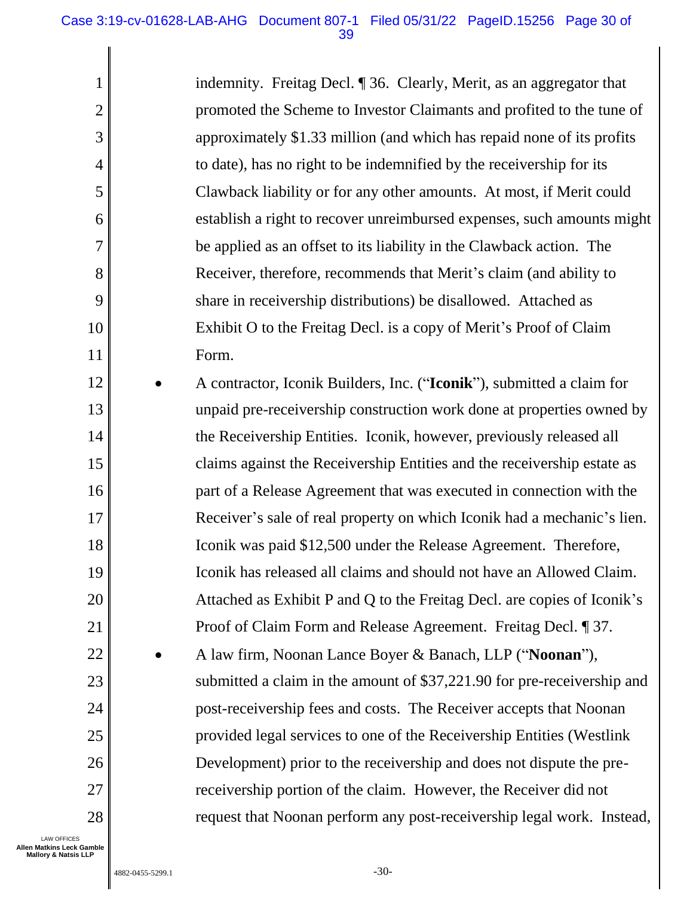indemnity. Freitag Decl. ¶ 36. Clearly, Merit, as an aggregator that promoted the Scheme to Investor Claimants and profited to the tune of approximately \$1.33 million (and which has repaid none of its profits to date), has no right to be indemnified by the receivership for its Clawback liability or for any other amounts. At most, if Merit could establish a right to recover unreimbursed expenses, such amounts might be applied as an offset to its liability in the Clawback action. The Receiver, therefore, recommends that Merit's claim (and ability to share in receivership distributions) be disallowed. Attached as Exhibit O to the Freitag Decl. is a copy of Merit's Proof of Claim Form.

12 13 14 15 16 17 18 19 20 21 22 23 24 25 26 27 28 • A contractor, Iconik Builders, Inc. ("**Iconik**"), submitted a claim for unpaid pre-receivership construction work done at properties owned by the Receivership Entities. Iconik, however, previously released all claims against the Receivership Entities and the receivership estate as part of a Release Agreement that was executed in connection with the Receiver's sale of real property on which Iconik had a mechanic's lien. Iconik was paid \$12,500 under the Release Agreement. Therefore, Iconik has released all claims and should not have an Allowed Claim. Attached as Exhibit P and Q to the Freitag Decl. are copies of Iconik's Proof of Claim Form and Release Agreement. Freitag Decl. ¶ 37. • A law firm, Noonan Lance Boyer & Banach, LLP ("**Noonan**"), submitted a claim in the amount of \$37,221.90 for pre-receivership and post-receivership fees and costs. The Receiver accepts that Noonan provided legal services to one of the Receivership Entities (Westlink Development) prior to the receivership and does not dispute the prereceivership portion of the claim. However, the Receiver did not request that Noonan perform any post-receivership legal work. Instead,

LAW OFFICES **Allen Matkins Leck Gamble Mallory & Natsis LLP**

1

2

3

4

5

6

7

8

9

10

11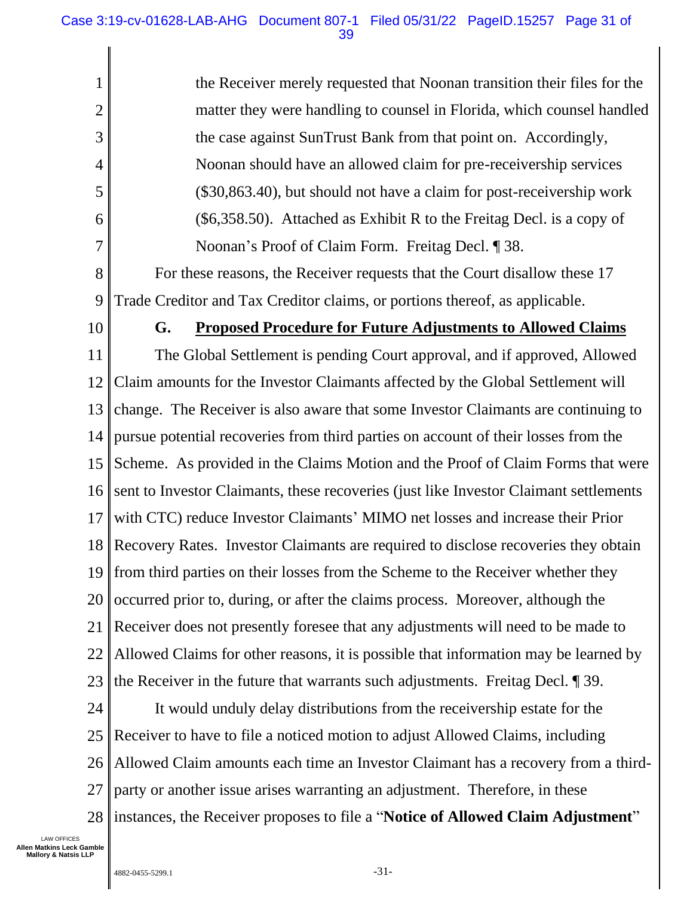the Receiver merely requested that Noonan transition their files for the matter they were handling to counsel in Florida, which counsel handled the case against SunTrust Bank from that point on. Accordingly, Noonan should have an allowed claim for pre-receivership services (\$30,863.40), but should not have a claim for post-receivership work (\$6,358.50). Attached as Exhibit R to the Freitag Decl. is a copy of Noonan's Proof of Claim Form. Freitag Decl. ¶ 38.

8 9 For these reasons, the Receiver requests that the Court disallow these 17 Trade Creditor and Tax Creditor claims, or portions thereof, as applicable.

<span id="page-30-0"></span>10

1

2

3

4

5

6

7

#### **G. Proposed Procedure for Future Adjustments to Allowed Claims**

11 12 13 14 15 16 17 18 19 20 21 22 23 The Global Settlement is pending Court approval, and if approved, Allowed Claim amounts for the Investor Claimants affected by the Global Settlement will change. The Receiver is also aware that some Investor Claimants are continuing to pursue potential recoveries from third parties on account of their losses from the Scheme. As provided in the Claims Motion and the Proof of Claim Forms that were sent to Investor Claimants, these recoveries (just like Investor Claimant settlements with CTC) reduce Investor Claimants' MIMO net losses and increase their Prior Recovery Rates. Investor Claimants are required to disclose recoveries they obtain from third parties on their losses from the Scheme to the Receiver whether they occurred prior to, during, or after the claims process. Moreover, although the Receiver does not presently foresee that any adjustments will need to be made to Allowed Claims for other reasons, it is possible that information may be learned by the Receiver in the future that warrants such adjustments. Freitag Decl. ¶ 39.

24 25 26 27 28 It would unduly delay distributions from the receivership estate for the Receiver to have to file a noticed motion to adjust Allowed Claims, including Allowed Claim amounts each time an Investor Claimant has a recovery from a thirdparty or another issue arises warranting an adjustment. Therefore, in these instances, the Receiver proposes to file a "**Notice of Allowed Claim Adjustment**"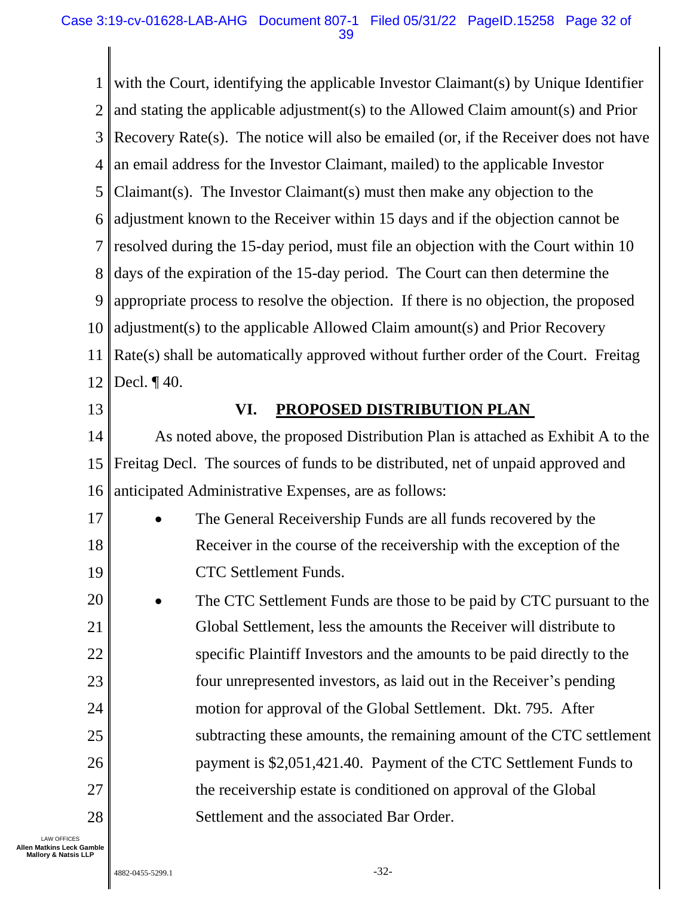1 2 3 4 5 6 7 8 9 10 11 12 13 14 with the Court, identifying the applicable Investor Claimant(s) by Unique Identifier and stating the applicable adjustment(s) to the Allowed Claim amount(s) and Prior Recovery Rate(s). The notice will also be emailed (or, if the Receiver does not have an email address for the Investor Claimant, mailed) to the applicable Investor Claimant(s). The Investor Claimant(s) must then make any objection to the adjustment known to the Receiver within 15 days and if the objection cannot be resolved during the 15-day period, must file an objection with the Court within 10 days of the expiration of the 15-day period. The Court can then determine the appropriate process to resolve the objection. If there is no objection, the proposed adjustment(s) to the applicable Allowed Claim amount(s) and Prior Recovery Rate(s) shall be automatically approved without further order of the Court. Freitag Decl. ¶ 40. **VI. PROPOSED DISTRIBUTION PLAN**  As noted above, the proposed Distribution Plan is attached as Exhibit A to the

<span id="page-31-0"></span>15 16 Freitag Decl. The sources of funds to be distributed, net of unpaid approved and anticipated Administrative Expenses, are as follows:

17 18 19 The General Receivership Funds are all funds recovered by the Receiver in the course of the receivership with the exception of the CTC Settlement Funds.

20 21 22 23 24 25 26 27 28 • The CTC Settlement Funds are those to be paid by CTC pursuant to the Global Settlement, less the amounts the Receiver will distribute to specific Plaintiff Investors and the amounts to be paid directly to the four unrepresented investors, as laid out in the Receiver's pending motion for approval of the Global Settlement. Dkt. 795. After subtracting these amounts, the remaining amount of the CTC settlement payment is \$2,051,421.40. Payment of the CTC Settlement Funds to the receivership estate is conditioned on approval of the Global Settlement and the associated Bar Order.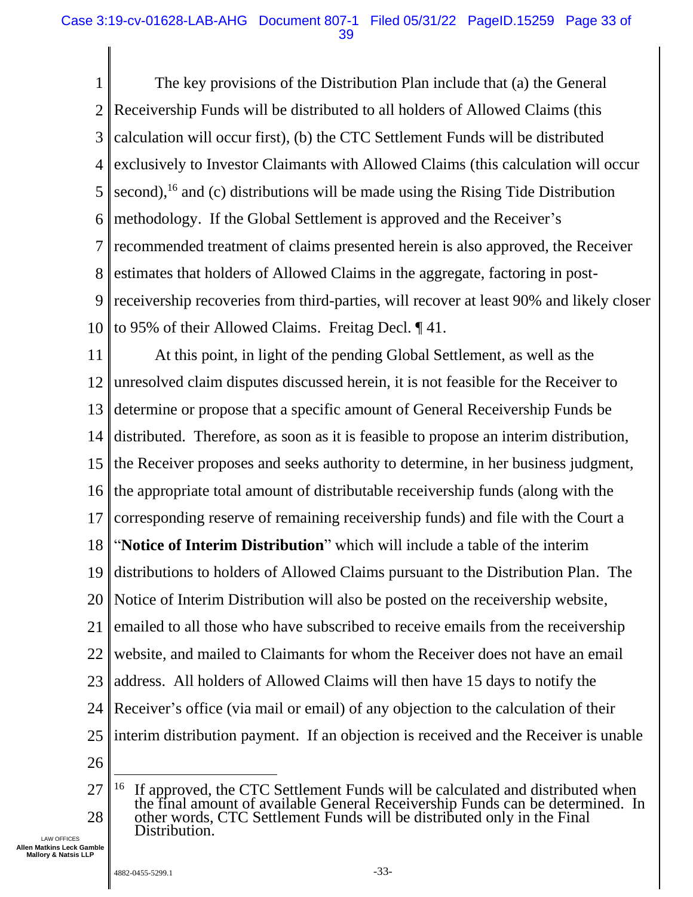1 2 3 4 5 6 7 8 9 10 The key provisions of the Distribution Plan include that (a) the General Receivership Funds will be distributed to all holders of Allowed Claims (this calculation will occur first), (b) the CTC Settlement Funds will be distributed exclusively to Investor Claimants with Allowed Claims (this calculation will occur second),<sup>16</sup> and (c) distributions will be made using the Rising Tide Distribution methodology. If the Global Settlement is approved and the Receiver's recommended treatment of claims presented herein is also approved, the Receiver estimates that holders of Allowed Claims in the aggregate, factoring in postreceivership recoveries from third-parties, will recover at least 90% and likely closer to 95% of their Allowed Claims. Freitag Decl. ¶ 41.

11 12 13 14 15 16 17 18 19 20 21 22 23 24 25 26 At this point, in light of the pending Global Settlement, as well as the unresolved claim disputes discussed herein, it is not feasible for the Receiver to determine or propose that a specific amount of General Receivership Funds be distributed. Therefore, as soon as it is feasible to propose an interim distribution, the Receiver proposes and seeks authority to determine, in her business judgment, the appropriate total amount of distributable receivership funds (along with the corresponding reserve of remaining receivership funds) and file with the Court a "**Notice of Interim Distribution**" which will include a table of the interim distributions to holders of Allowed Claims pursuant to the Distribution Plan. The Notice of Interim Distribution will also be posted on the receivership website, emailed to all those who have subscribed to receive emails from the receivership website, and mailed to Claimants for whom the Receiver does not have an email address. All holders of Allowed Claims will then have 15 days to notify the Receiver's office (via mail or email) of any objection to the calculation of their interim distribution payment. If an objection is received and the Receiver is unable

<sup>27</sup> 28 <sup>16</sup> If approved, the CTC Settlement Funds will be calculated and distributed when the final amount of available General Receivership Funds can be determined. In other words, CTC Settlement Funds will be distributed only in the Final Distribution.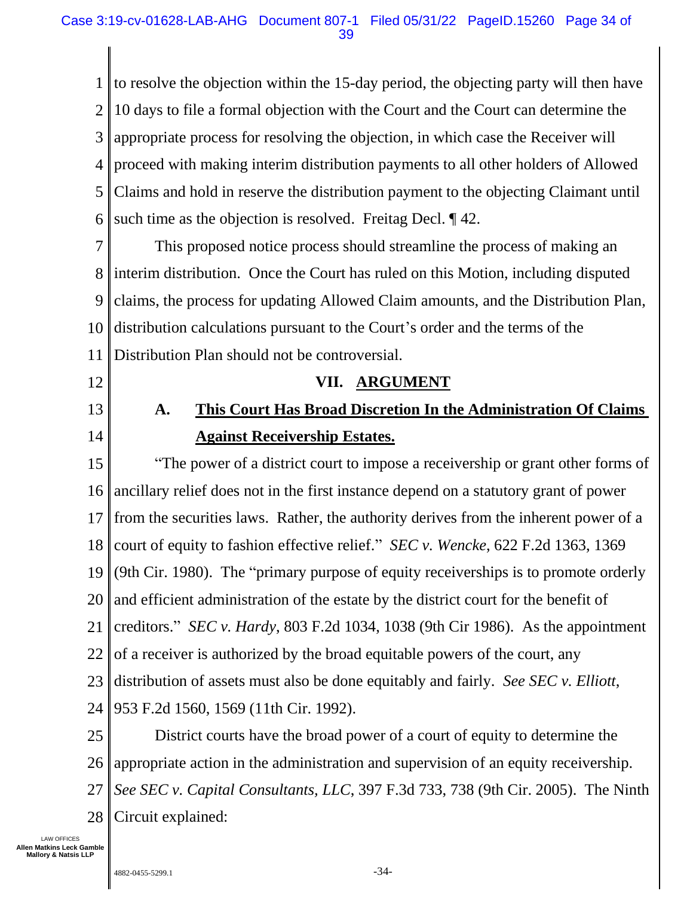1 2 3 4 5 6 to resolve the objection within the 15-day period, the objecting party will then have 10 days to file a formal objection with the Court and the Court can determine the appropriate process for resolving the objection, in which case the Receiver will proceed with making interim distribution payments to all other holders of Allowed Claims and hold in reserve the distribution payment to the objecting Claimant until such time as the objection is resolved. Freitag Decl.  $\P$  42.

7 8 9 10 11 This proposed notice process should streamline the process of making an interim distribution. Once the Court has ruled on this Motion, including disputed claims, the process for updating Allowed Claim amounts, and the Distribution Plan, distribution calculations pursuant to the Court's order and the terms of the Distribution Plan should not be controversial.

<span id="page-33-0"></span>12

<span id="page-33-1"></span>13 14

#### **VII. ARGUMENT**

## **A. This Court Has Broad Discretion In the Administration Of Claims Against Receivership Estates.**

15 16 17 18 19 20 21 22 23 24 "The power of a district court to impose a receivership or grant other forms of ancillary relief does not in the first instance depend on a statutory grant of power from the securities laws. Rather, the authority derives from the inherent power of a court of equity to fashion effective relief." *SEC v. Wencke*, 622 F.2d 1363, 1369 (9th Cir. 1980). The "primary purpose of equity receiverships is to promote orderly and efficient administration of the estate by the district court for the benefit of creditors." *SEC v. Hardy*, 803 F.2d 1034, 1038 (9th Cir 1986). As the appointment of a receiver is authorized by the broad equitable powers of the court, any distribution of assets must also be done equitably and fairly. *See SEC v. Elliott*, 953 F.2d 1560, 1569 (11th Cir. 1992).

25 26 27 28 District courts have the broad power of a court of equity to determine the appropriate action in the administration and supervision of an equity receivership. *See SEC v. Capital Consultants, LLC*, 397 F.3d 733, 738 (9th Cir. 2005). The Ninth Circuit explained: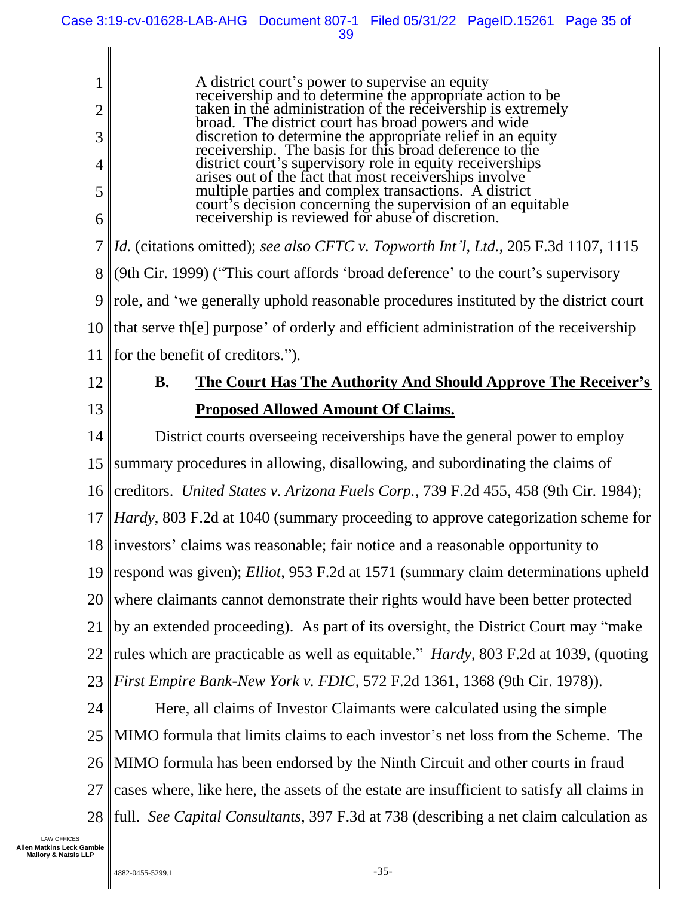39

1 2 3 4 5 6 7 8 9 10 A district court's power to supervise an equity receivership and to determine the appropriate action to be taken in the administration of the receivership is extremely broad. The district court has broad powers and wide discretion to determine the appropriate relief in an equity receivership. The basis for this broad deference to the district court's supervisory role in equity receiverships arises out of the fact that most receiverships involve multiple parties and complex transactions. A district court's decision concerning the supervision of an equitable receivership is reviewed for abuse of discretion. *Id.* (citations omitted); *see also CFTC v. Topworth Int'l, Ltd.*, 205 F.3d 1107, 1115 (9th Cir. 1999) ("This court affords 'broad deference' to the court's supervisory role, and 'we generally uphold reasonable procedures instituted by the district court that serve th[e] purpose' of orderly and efficient administration of the receivership

11 for the benefit of creditors.").

- <span id="page-34-0"></span>12
- 13

## **B. The Court Has The Authority And Should Approve The Receiver's Proposed Allowed Amount Of Claims.**

14 15 16 17 18 19 20 21 22 23 District courts overseeing receiverships have the general power to employ summary procedures in allowing, disallowing, and subordinating the claims of creditors. *United States v. Arizona Fuels Corp.*, 739 F.2d 455, 458 (9th Cir. 1984); *Hardy*, 803 F.2d at 1040 (summary proceeding to approve categorization scheme for investors' claims was reasonable; fair notice and a reasonable opportunity to respond was given); *Elliot*, 953 F.2d at 1571 (summary claim determinations upheld where claimants cannot demonstrate their rights would have been better protected by an extended proceeding). As part of its oversight, the District Court may "make rules which are practicable as well as equitable." *Hardy,* 803 F.2d at 1039, (quoting *First Empire Bank-New York v. FDIC*, 572 F.2d 1361, 1368 (9th Cir. 1978)).

24 25 26 27 28 Here, all claims of Investor Claimants were calculated using the simple MIMO formula that limits claims to each investor's net loss from the Scheme. The MIMO formula has been endorsed by the Ninth Circuit and other courts in fraud cases where, like here, the assets of the estate are insufficient to satisfy all claims in full. *See Capital Consultants*, 397 F.3d at 738 (describing a net claim calculation as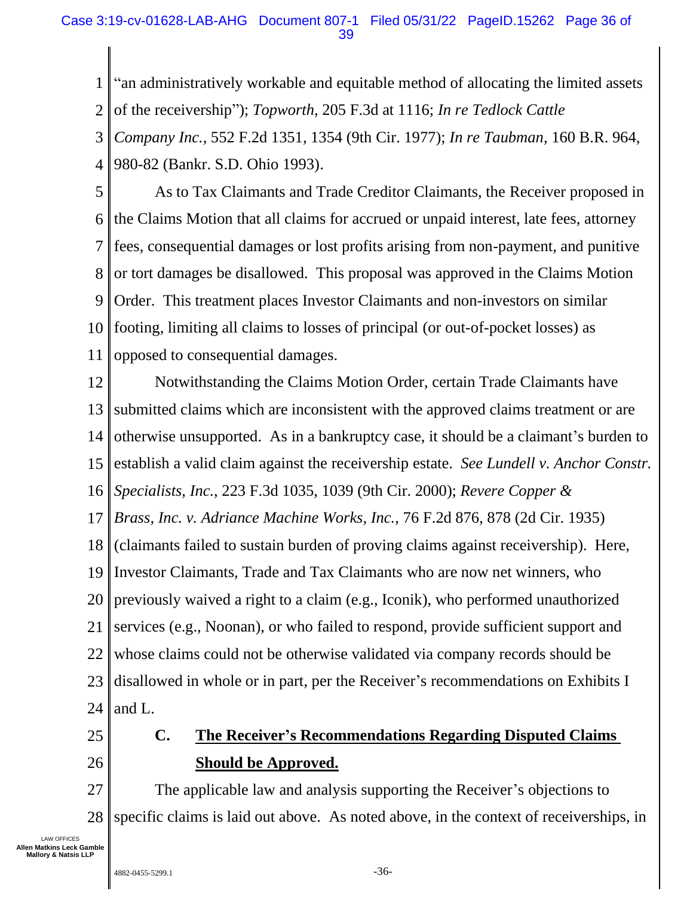#### Case 3:19-cv-01628-LAB-AHG Document 807-1 Filed 05/31/22 PageID.15262 Page 36 of 39

1 2 3 4 "an administratively workable and equitable method of allocating the limited assets of the receivership"); *Topworth*, 205 F.3d at 1116; *In re Tedlock Cattle Company Inc.*, 552 F.2d 1351, 1354 (9th Cir. 1977); *In re Taubman*, 160 B.R. 964, 980-82 (Bankr. S.D. Ohio 1993).

5 6 7 8 9 10 11 As to Tax Claimants and Trade Creditor Claimants, the Receiver proposed in the Claims Motion that all claims for accrued or unpaid interest, late fees, attorney fees, consequential damages or lost profits arising from non-payment, and punitive or tort damages be disallowed. This proposal was approved in the Claims Motion Order. This treatment places Investor Claimants and non-investors on similar footing, limiting all claims to losses of principal (or out-of-pocket losses) as opposed to consequential damages.

12 13 14 15 16 17 18 19 20 21 22 23 24 Notwithstanding the Claims Motion Order, certain Trade Claimants have submitted claims which are inconsistent with the approved claims treatment or are otherwise unsupported. As in a bankruptcy case, it should be a claimant's burden to establish a valid claim against the receivership estate. *See Lundell v. Anchor Constr. Specialists, Inc.*, 223 F.3d 1035, 1039 (9th Cir. 2000); *Revere Copper & Brass, Inc. v. Adriance Machine Works, Inc.*, 76 F.2d 876, 878 (2d Cir. 1935) (claimants failed to sustain burden of proving claims against receivership). Here, Investor Claimants, Trade and Tax Claimants who are now net winners, who previously waived a right to a claim (e.g., Iconik), who performed unauthorized services (e.g., Noonan), or who failed to respond, provide sufficient support and whose claims could not be otherwise validated via company records should be disallowed in whole or in part, per the Receiver's recommendations on Exhibits I and L.

<span id="page-35-0"></span>25

26

### **C. The Receiver's Recommendations Regarding Disputed Claims Should be Approved.**

27 28 The applicable law and analysis supporting the Receiver's objections to specific claims is laid out above. As noted above, in the context of receiverships, in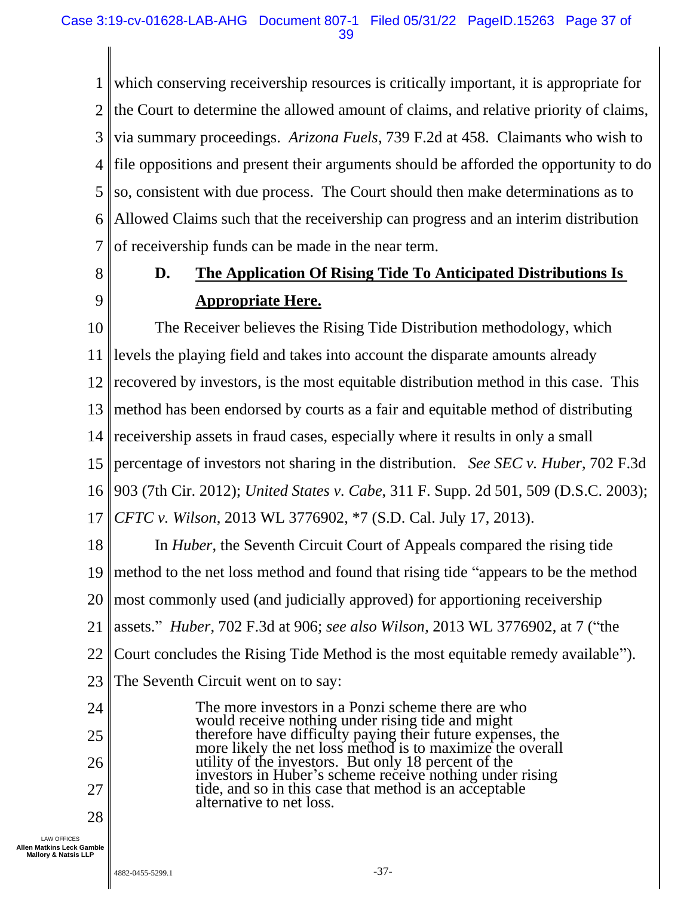1 2 3 4 5 6 7 which conserving receivership resources is critically important, it is appropriate for the Court to determine the allowed amount of claims, and relative priority of claims, via summary proceedings. *Arizona Fuels*, 739 F.2d at 458. Claimants who wish to file oppositions and present their arguments should be afforded the opportunity to do so, consistent with due process. The Court should then make determinations as to Allowed Claims such that the receivership can progress and an interim distribution of receivership funds can be made in the near term.

<span id="page-36-0"></span>8

9

## **D. The Application Of Rising Tide To Anticipated Distributions Is Appropriate Here.**

10 11 12 13 14 15 16 17 18 19 20 21 The Receiver believes the Rising Tide Distribution methodology, which levels the playing field and takes into account the disparate amounts already recovered by investors, is the most equitable distribution method in this case. This method has been endorsed by courts as a fair and equitable method of distributing receivership assets in fraud cases, especially where it results in only a small percentage of investors not sharing in the distribution. *See SEC v. Huber*, 702 F.3d 903 (7th Cir. 2012); *United States v. Cabe*, 311 F. Supp. 2d 501, 509 (D.S.C. 2003); *CFTC v. Wilson*, 2013 WL 3776902, \*7 (S.D. Cal. July 17, 2013). In *Huber*, the Seventh Circuit Court of Appeals compared the rising tide method to the net loss method and found that rising tide "appears to be the method most commonly used (and judicially approved) for apportioning receivership assets." *Huber*, 702 F.3d at 906; *see also Wilson*, 2013 WL 3776902, at 7 ("the

22 Court concludes the Rising Tide Method is the most equitable remedy available").

23 The Seventh Circuit went on to say:

24 25 26 27 28 The more investors in a Ponzi scheme there are who would receive nothing under rising tide and might therefore have difficulty paying their future expenses, the more likely the net loss method is to maximize the overall utility of the investors. But only 18 percent of the investors in Huber's scheme receive nothing under rising tide, and so in this case that method is an acceptable alternative to net loss.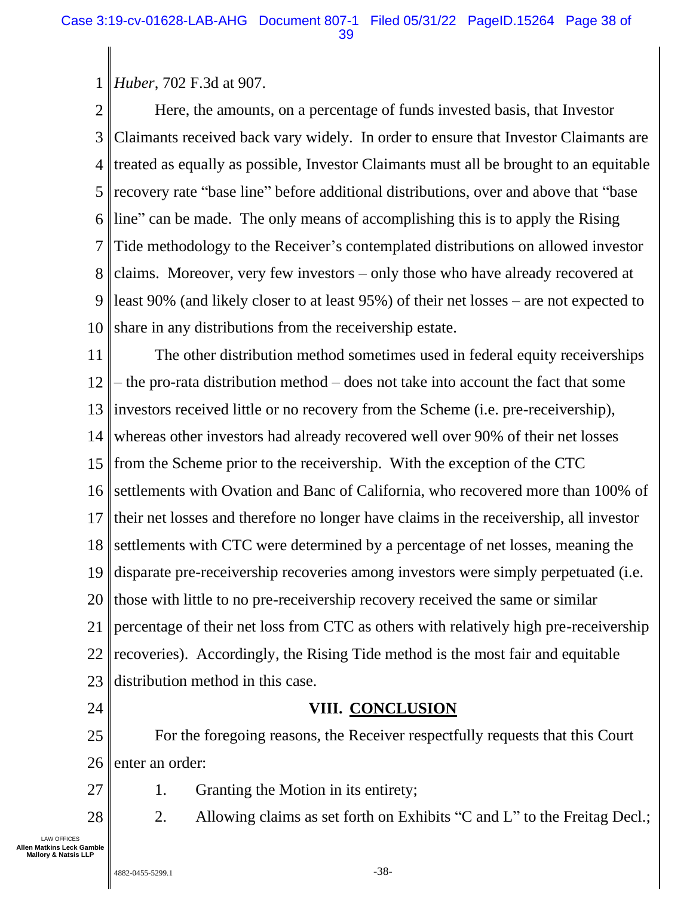#### 1 *Huber*, 702 F.3d at 907.

2 3 4 5 6 7 8 9 10 Here, the amounts, on a percentage of funds invested basis, that Investor Claimants received back vary widely. In order to ensure that Investor Claimants are treated as equally as possible, Investor Claimants must all be brought to an equitable recovery rate "base line" before additional distributions, over and above that "base line" can be made. The only means of accomplishing this is to apply the Rising Tide methodology to the Receiver's contemplated distributions on allowed investor claims. Moreover, very few investors – only those who have already recovered at least 90% (and likely closer to at least 95%) of their net losses – are not expected to share in any distributions from the receivership estate.

11 12 13 14 15 16 17 18 19 20 21 22 23 The other distribution method sometimes used in federal equity receiverships – the pro-rata distribution method – does not take into account the fact that some investors received little or no recovery from the Scheme (i.e. pre-receivership), whereas other investors had already recovered well over 90% of their net losses from the Scheme prior to the receivership. With the exception of the CTC settlements with Ovation and Banc of California, who recovered more than 100% of their net losses and therefore no longer have claims in the receivership, all investor settlements with CTC were determined by a percentage of net losses, meaning the disparate pre-receivership recoveries among investors were simply perpetuated (i.e. those with little to no pre-receivership recovery received the same or similar percentage of their net loss from CTC as others with relatively high pre-receivership recoveries). Accordingly, the Rising Tide method is the most fair and equitable distribution method in this case.

<span id="page-37-0"></span>24

27

28

### **VIII. CONCLUSION**

25 26 For the foregoing reasons, the Receiver respectfully requests that this Court enter an order:

1. Granting the Motion in its entirety;

2. Allowing claims as set forth on Exhibits "C and L" to the Freitag Decl.;